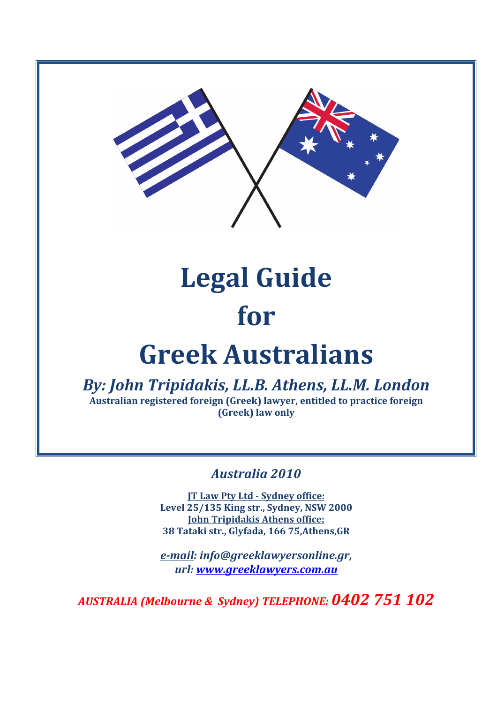

# **Legal Guide for**

## **Greek Australians**

**By: John Tripidakis, LL.B. Athens, LL.M. London** Australian registered foreign (Greek) lawyer, entitled to practice foreign **(Greek)** law only

*Australia 2010*

**JT Law Pty Ltd - Sydney office: Level 25/135 King str., Sydney, NSW 2000 John Tripidakis Athens office: 38 Tataki str., Glyfada, 166 75,Athens,GR**

*e-mail: info@greeklawyersonline.gr, url: www.greeklawyers.com.au*

AUSTRALIA (Melbourne & Sydney) TELEPHONE: 0402 751 102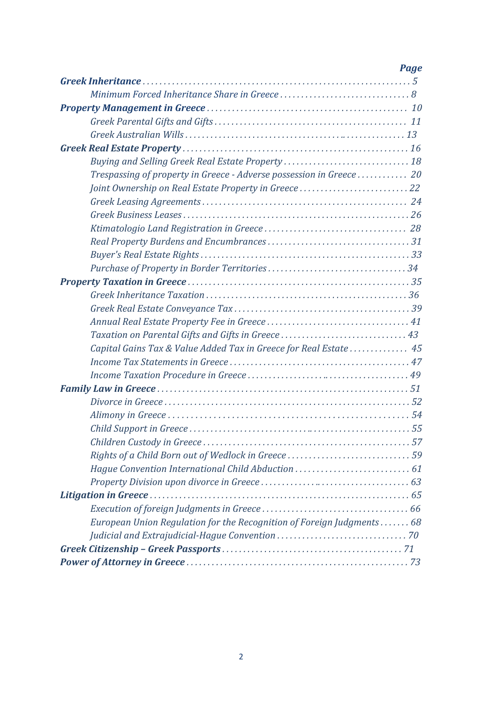| Page                                                                  |
|-----------------------------------------------------------------------|
|                                                                       |
|                                                                       |
|                                                                       |
|                                                                       |
|                                                                       |
|                                                                       |
|                                                                       |
| Trespassing of property in Greece - Adverse possession in Greece  20  |
| Joint Ownership on Real Estate Property in Greece  22                 |
|                                                                       |
|                                                                       |
|                                                                       |
|                                                                       |
|                                                                       |
|                                                                       |
|                                                                       |
|                                                                       |
|                                                                       |
|                                                                       |
|                                                                       |
| Capital Gains Tax & Value Added Tax in Greece for Real Estate  45     |
|                                                                       |
|                                                                       |
|                                                                       |
|                                                                       |
|                                                                       |
|                                                                       |
|                                                                       |
|                                                                       |
|                                                                       |
|                                                                       |
|                                                                       |
|                                                                       |
| European Union Regulation for the Recognition of Foreign Judgments 68 |
|                                                                       |
|                                                                       |
|                                                                       |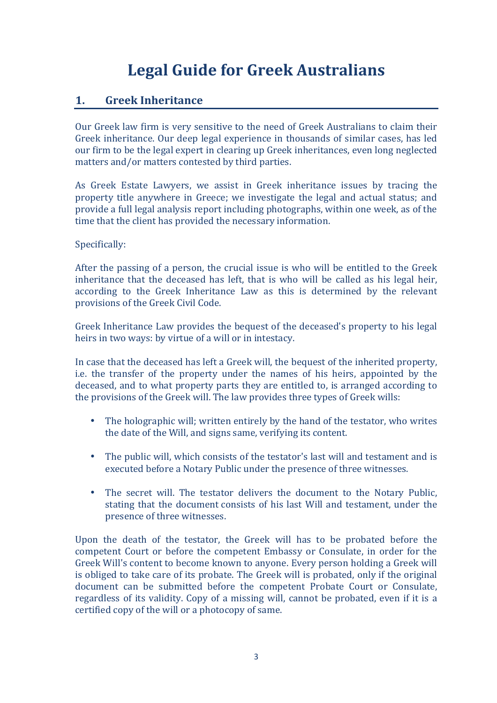## Legal Guide for Greek Australians

## **1. Greek Inheritance**

Our Greek law firm is very sensitive to the need of Greek Australians to claim their Greek inheritance. Our deep legal experience in thousands of similar cases, has led our firm to be the legal expert in clearing up Greek inheritances, even long neglected matters and/or matters contested by third parties.

As Greek Estate Lawyers, we assist in Greek inheritance issues by tracing the property title anywhere in Greece; we investigate the legal and actual status; and provide a full legal analysis report including photographs, within one week, as of the time that the client has provided the necessary information.

#### Specifically:

After the passing of a person, the crucial issue is who will be entitled to the Greek inheritance that the deceased has left, that is who will be called as his legal heir, according to the Greek Inheritance Law as this is determined by the relevant provisions of the Greek Civil Code.

Greek Inheritance Law provides the bequest of the deceased's property to his legal heirs in two ways: by virtue of a will or in intestacy.

In case that the deceased has left a Greek will, the bequest of the inherited property, i.e. the transfer of the property under the names of his heirs, appointed by the deceased, and to what property parts they are entitled to, is arranged according to the provisions of the Greek will. The law provides three types of Greek wills:

- The holographic will; written entirely by the hand of the testator, who writes the date of the Will, and signs same, verifying its content.
- The public will, which consists of the testator's last will and testament and is executed before a Notary Public under the presence of three witnesses.
- The secret will. The testator delivers the document to the Notary Public. stating that the document consists of his last Will and testament, under the presence of three witnesses.

Upon the death of the testator, the Greek will has to be probated before the competent Court or before the competent Embassy or Consulate, in order for the Greek Will's content to become known to anyone. Every person holding a Greek will is obliged to take care of its probate. The Greek will is probated, only if the original document can be submitted before the competent Probate Court or Consulate, regardless of its validity. Copy of a missing will, cannot be probated, even if it is a certified copy of the will or a photocopy of same.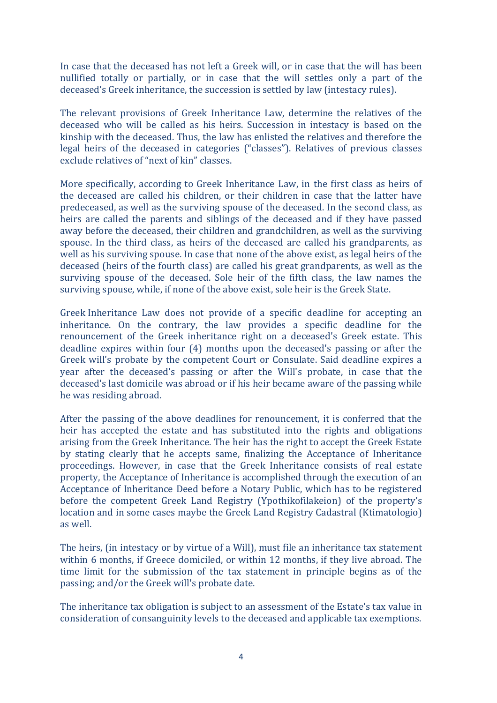In case that the deceased has not left a Greek will, or in case that the will has been nullified totally or partially, or in case that the will settles only a part of the deceased's Greek inheritance, the succession is settled by law (intestacy rules).

The relevant provisions of Greek Inheritance Law, determine the relatives of the deceased who will be called as his heirs. Succession in intestacy is based on the kinship with the deceased. Thus, the law has enlisted the relatives and therefore the legal heirs of the deceased in categories ("classes"). Relatives of previous classes exclude relatives of "next of kin" classes.

More specifically, according to Greek Inheritance Law, in the first class as heirs of the deceased are called his children, or their children in case that the latter have predeceased, as well as the surviving spouse of the deceased. In the second class, as heirs are called the parents and siblings of the deceased and if they have passed away before the deceased, their children and grandchildren, as well as the surviving spouse. In the third class, as heirs of the deceased are called his grandparents, as well as his surviving spouse. In case that none of the above exist, as legal heirs of the deceased (heirs of the fourth class) are called his great grandparents, as well as the surviving spouse of the deceased. Sole heir of the fifth class, the law names the surviving spouse, while, if none of the above exist, sole heir is the Greek State.

Greek Inheritance Law does not provide of a specific deadline for accepting an inheritance. On the contrary, the law provides a specific deadline for the renouncement of the Greek inheritance right on a deceased's Greek estate. This deadline expires within four (4) months upon the deceased's passing or after the Greek will's probate by the competent Court or Consulate. Said deadline expires a year after the deceased's passing or after the Will's probate, in case that the deceased's last domicile was abroad or if his heir became aware of the passing while he was residing abroad.

After the passing of the above deadlines for renouncement, it is conferred that the heir has accepted the estate and has substituted into the rights and obligations arising from the Greek Inheritance. The heir has the right to accept the Greek Estate by stating clearly that he accepts same, finalizing the Acceptance of Inheritance proceedings. However, in case that the Greek Inheritance consists of real estate property, the Acceptance of Inheritance is accomplished through the execution of an Acceptance of Inheritance Deed before a Notary Public, which has to be registered before the competent Greek Land Registry (Ypothikofilakeion) of the property's location and in some cases maybe the Greek Land Registry Cadastral (Ktimatologio) as well.

The heirs, (in intestacy or by virtue of a Will), must file an inheritance tax statement within 6 months, if Greece domiciled, or within 12 months, if they live abroad. The time limit for the submission of the tax statement in principle begins as of the passing; and/or the Greek will's probate date.

The inheritance tax obligation is subject to an assessment of the Estate's tax value in consideration of consanguinity levels to the deceased and applicable tax exemptions.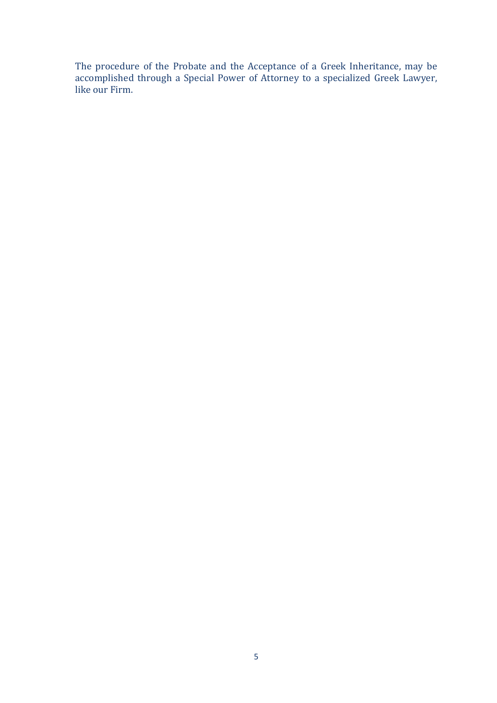The procedure of the Probate and the Acceptance of a Greek Inheritance, may be accomplished through a Special Power of Attorney to a specialized Greek Lawyer, like our Firm.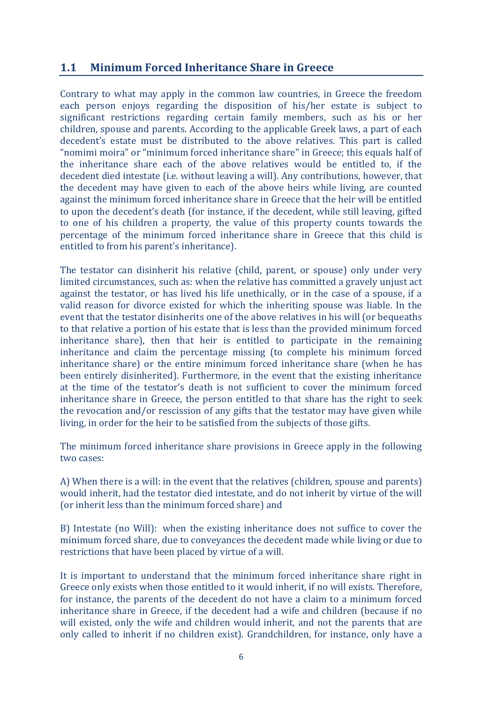## **1.1 Minimum Forced Inheritance Share in Greece**

Contrary to what may apply in the common law countries, in Greece the freedom each person enjoys regarding the disposition of his/her estate is subject to significant restrictions regarding certain family members, such as his or her children, spouse and parents. According to the applicable Greek laws, a part of each decedent's estate must be distributed to the above relatives. This part is called "nomimi moira" or "minimum forced inheritance share" in Greece; this equals half of the inheritance share each of the above relatives would be entitled to, if the decedent died intestate (i.e. without leaving a will). Any contributions, however, that the decedent may have given to each of the above heirs while living, are counted against the minimum forced inheritance share in Greece that the heir will be entitled to upon the decedent's death (for instance, if the decedent, while still leaving, gifted to one of his children a property, the value of this property counts towards the percentage of the minimum forced inheritance share in Greece that this child is entitled to from his parent's inheritance).

The testator can disinherit his relative (child, parent, or spouse) only under very limited circumstances, such as: when the relative has committed a gravely unjust act against the testator, or has lived his life unethically, or in the case of a spouse, if a valid reason for divorce existed for which the inheriting spouse was liable. In the event that the testator disinherits one of the above relatives in his will (or bequeaths to that relative a portion of his estate that is less than the provided minimum forced inheritance share), then that heir is entitled to participate in the remaining inheritance and claim the percentage missing (to complete his minimum forced inheritance share) or the entire minimum forced inheritance share (when he has been entirely disinherited). Furthermore, in the event that the existing inheritance at the time of the testator's death is not sufficient to cover the minimum forced inheritance share in Greece, the person entitled to that share has the right to seek the revocation and/or rescission of any gifts that the testator may have given while living, in order for the heir to be satisfied from the subjects of those gifts.

The minimum forced inheritance share provisions in Greece apply in the following two cases:

A) When there is a will: in the event that the relatives (children, spouse and parents) would inherit, had the testator died intestate, and do not inherit by virtue of the will (or inherit less than the minimum forced share) and

B) Intestate (no Will): when the existing inheritance does not suffice to cover the minimum forced share, due to conveyances the decedent made while living or due to restrictions that have been placed by virtue of a will.

It is important to understand that the minimum forced inheritance share right in Greece only exists when those entitled to it would inherit, if no will exists. Therefore, for instance, the parents of the decedent do not have a claim to a minimum forced inheritance share in Greece, if the decedent had a wife and children (because if no will existed, only the wife and children would inherit, and not the parents that are only called to inherit if no children exist). Grandchildren, for instance, only have a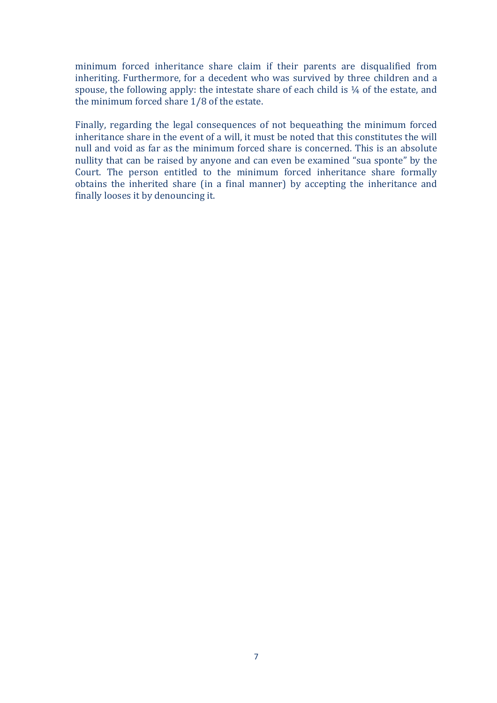minimum forced inheritance share claim if their parents are disqualified from inheriting. Furthermore, for a decedent who was survived by three children and a spouse, the following apply: the intestate share of each child is  $\frac{1}{4}$  of the estate, and the minimum forced share  $1/8$  of the estate.

Finally, regarding the legal consequences of not bequeathing the minimum forced inheritance share in the event of a will, it must be noted that this constitutes the will null and void as far as the minimum forced share is concerned. This is an absolute nullity that can be raised by anyone and can even be examined "sua sponte" by the Court. The person entitled to the minimum forced inheritance share formally obtains the inherited share (in a final manner) by accepting the inheritance and finally looses it by denouncing it.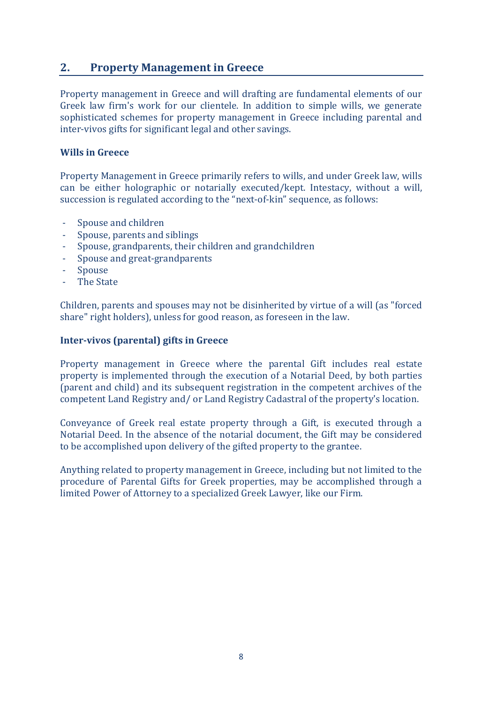## **2.** Property Management in Greece

Property management in Greece and will drafting are fundamental elements of our Greek law firm's work for our clientele. In addition to simple wills, we generate sophisticated schemes for property management in Greece including parental and inter-vivos gifts for significant legal and other savings.

#### **Wills in Greece**

Property Management in Greece primarily refers to wills, and under Greek law, wills can be either holographic or notarially executed/kept. Intestacy, without a will, succession is regulated according to the "next-of-kin" sequence, as follows:

- Spouse and children
- Spouse, parents and siblings
- Spouse, grandparents, their children and grandchildren
- Spouse and great-grandparents
- **Spouse**
- The State

Children, parents and spouses may not be disinherited by virtue of a will (as "forced share" right holders), unless for good reason, as foreseen in the law.

#### **Inter-vivos (parental) gifts in Greece**

Property management in Greece where the parental Gift includes real estate property is implemented through the execution of a Notarial Deed, by both parties (parent and child) and its subsequent registration in the competent archives of the competent Land Registry and/ or Land Registry Cadastral of the property's location.

Conveyance of Greek real estate property through a Gift, is executed through a Notarial Deed. In the absence of the notarial document, the Gift may be considered to be accomplished upon delivery of the gifted property to the grantee.

Anything related to property management in Greece, including but not limited to the procedure of Parental Gifts for Greek properties, may be accomplished through a limited Power of Attorney to a specialized Greek Lawyer, like our Firm.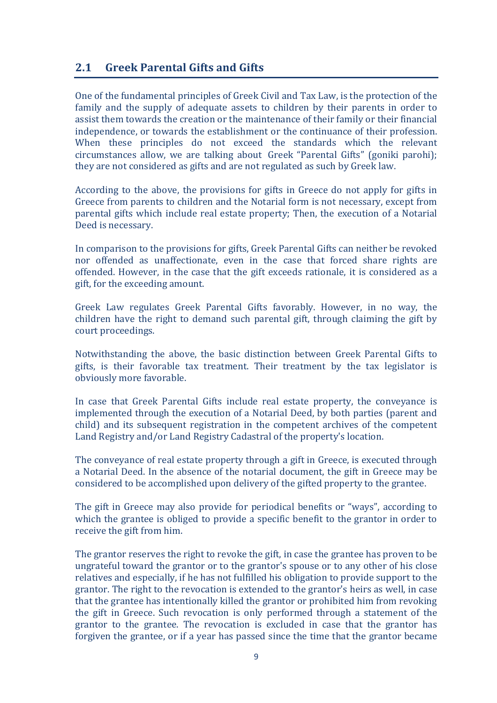## **2.1 Greek Parental Gifts and Gifts**

One of the fundamental principles of Greek Civil and Tax Law, is the protection of the family and the supply of adequate assets to children by their parents in order to assist them towards the creation or the maintenance of their family or their financial independence, or towards the establishment or the continuance of their profession. When these principles do not exceed the standards which the relevant circumstances allow, we are talking about Greek "Parental Gifts" (goniki parohi); they are not considered as gifts and are not regulated as such by Greek law.

According to the above, the provisions for gifts in Greece do not apply for gifts in Greece from parents to children and the Notarial form is not necessary, except from parental gifts which include real estate property; Then, the execution of a Notarial Deed is necessary.

In comparison to the provisions for gifts, Greek Parental Gifts can neither be revoked nor offended as unaffectionate, even in the case that forced share rights are offended. However, in the case that the gift exceeds rationale, it is considered as a gift, for the exceeding amount.

Greek Law regulates Greek Parental Gifts favorably. However, in no way, the children have the right to demand such parental gift, through claiming the gift by court proceedings.

Notwithstanding the above, the basic distinction between Greek Parental Gifts to gifts, is their favorable tax treatment. Their treatment by the tax legislator is obviously more favorable.

In case that Greek Parental Gifts include real estate property, the conveyance is implemented through the execution of a Notarial Deed, by both parties (parent and child) and its subsequent registration in the competent archives of the competent Land Registry and/or Land Registry Cadastral of the property's location.

The conveyance of real estate property through a gift in Greece, is executed through a Notarial Deed. In the absence of the notarial document, the gift in Greece may be considered to be accomplished upon delivery of the gifted property to the grantee.

The gift in Greece may also provide for periodical benefits or "ways", according to which the grantee is obliged to provide a specific benefit to the grantor in order to receive the gift from him.

The grantor reserves the right to revoke the gift, in case the grantee has proven to be ungrateful toward the grantor or to the grantor's spouse or to any other of his close relatives and especially, if he has not fulfilled his obligation to provide support to the grantor. The right to the revocation is extended to the grantor's heirs as well, in case that the grantee has intentionally killed the grantor or prohibited him from revoking the gift in Greece. Such revocation is only performed through a statement of the grantor to the grantee. The revocation is excluded in case that the grantor has forgiven the grantee, or if a year has passed since the time that the grantor became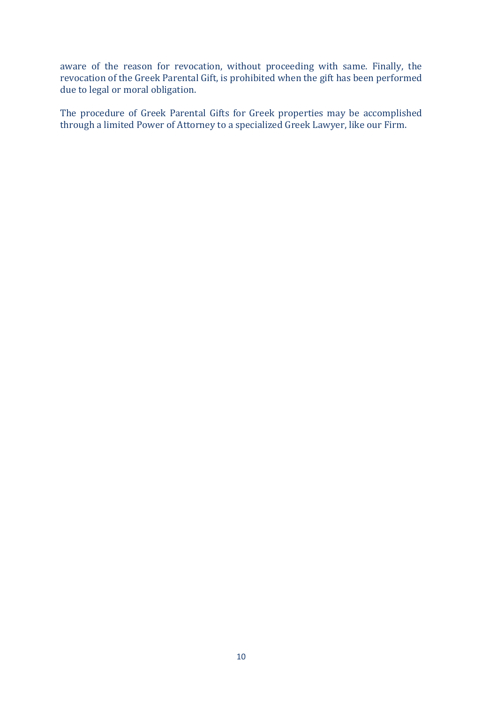aware of the reason for revocation, without proceeding with same. Finally, the revocation of the Greek Parental Gift, is prohibited when the gift has been performed due to legal or moral obligation.

The procedure of Greek Parental Gifts for Greek properties may be accomplished through a limited Power of Attorney to a specialized Greek Lawyer, like our Firm.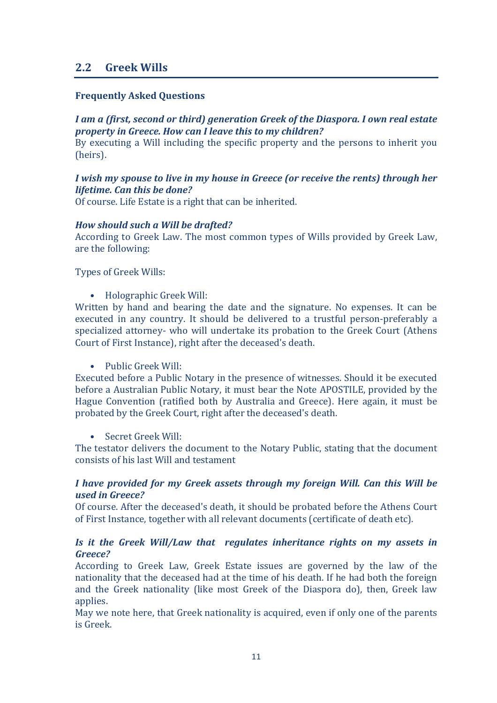## **2.2 Greek Wills**

#### **Frequently Asked Questions**

#### *I* am a (first, second or third) generation Greek of the Diaspora. I own real estate *property in Greece. How can I leave this to my children?*

By executing a Will including the specific property and the persons to inherit you (heirs).

#### *I* wish my spouse to live in my house in Greece (or receive the rents) through her *lifetime.* Can this be done?

Of course. Life Estate is a right that can be inherited.

#### *How should such a Will be drafted?*

According to Greek Law. The most common types of Wills provided by Greek Law, are the following:

Types of Greek Wills:

• Holographic Greek Will:

Written by hand and bearing the date and the signature. No expenses. It can be executed in any country. It should be delivered to a trustful person-preferably a specialized attorney- who will undertake its probation to the Greek Court (Athens Court of First Instance), right after the deceased's death.

#### • Public Greek Will:

Executed before a Public Notary in the presence of witnesses. Should it be executed before a Australian Public Notary, it must bear the Note APOSTILE, provided by the Hague Convention (ratified both by Australia and Greece). Here again, it must be probated by the Greek Court, right after the deceased's death.

Secret Greek Will:

The testator delivers the document to the Notary Public, stating that the document consists of his last Will and testament

#### *I* have provided for my Greek assets through my foreign Will. Can this Will be *used in Greece?*

Of course. After the deceased's death, it should be probated before the Athens Court of First Instance, together with all relevant documents (certificate of death etc).

#### *Is* it the Greek Will/Law that regulates inheritance rights on my assets in *Greece?*

According to Greek Law, Greek Estate issues are governed by the law of the nationality that the deceased had at the time of his death. If he had both the foreign and the Greek nationality (like most Greek of the Diaspora do), then, Greek law applies.

May we note here, that Greek nationality is acquired, even if only one of the parents is Greek.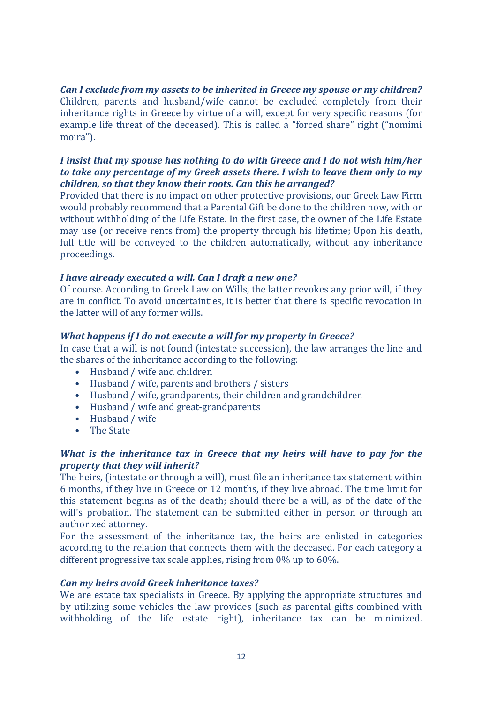#### *Can I exclude from my assets to be inherited in Greece my spouse or my children?*

Children, parents and husband/wife cannot be excluded completely from their inheritance rights in Greece by virtue of a will, except for very specific reasons (for example life threat of the deceased). This is called a "forced share" right ("nomimi moira").

#### *I* insist that my spouse has nothing to do with Greece and *I* do not wish him/her *to* take any percentage of my Greek assets there. I wish to leave them only to my *children, so that they know their roots. Can this be arranged?*

Provided that there is no impact on other protective provisions, our Greek Law Firm would probably recommend that a Parental Gift be done to the children now, with or without withholding of the Life Estate. In the first case, the owner of the Life Estate may use (or receive rents from) the property through his lifetime; Upon his death, full title will be conveyed to the children automatically, without any inheritance proceedings.

#### *I have already executed a will. Can I draft a new one?*

Of course. According to Greek Law on Wills, the latter revokes any prior will, if they are in conflict. To avoid uncertainties, it is better that there is specific revocation in the latter will of any former wills.

#### *What happens if I do not execute a will for my property in Greece?*

In case that a will is not found (intestate succession), the law arranges the line and the shares of the inheritance according to the following:

- Husband / wife and children
- Husband / wife, parents and brothers / sisters
- Husband / wife, grandparents, their children and grandchildren
- Husband / wife and great-grandparents
- Husband / wife
- The State

#### *What is the inheritance tax in Greece that my heirs will have to pay for the property that they will inherit?*

The heirs, (intestate or through a will), must file an inheritance tax statement within 6 months, if they live in Greece or 12 months, if they live abroad. The time limit for this statement begins as of the death; should there be a will, as of the date of the will's probation. The statement can be submitted either in person or through an authorized attorney.

For the assessment of the inheritance tax, the heirs are enlisted in categories according to the relation that connects them with the deceased. For each category a different progressive tax scale applies, rising from  $0\%$  up to  $60\%$ .

#### *Can my heirs avoid Greek inheritance taxes?*

We are estate tax specialists in Greece. By applying the appropriate structures and by utilizing some vehicles the law provides (such as parental gifts combined with withholding of the life estate right), inheritance tax can be minimized.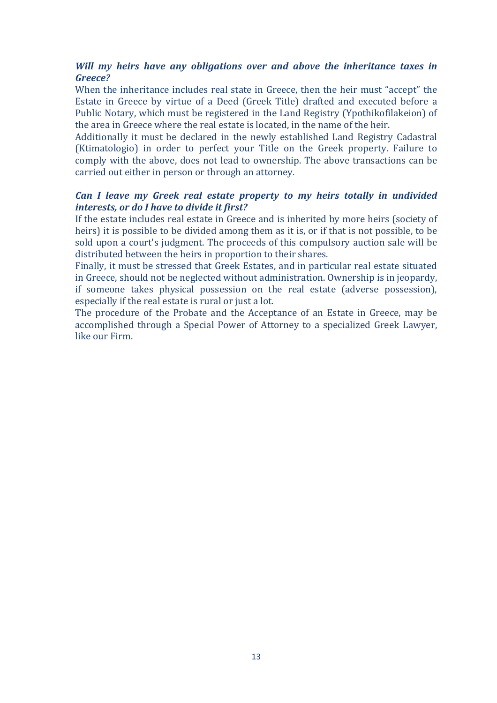#### *Will my heirs have any obligations over and above the inheritance taxes in Greece?*

When the inheritance includes real state in Greece, then the heir must "accept" the Estate in Greece by virtue of a Deed (Greek Title) drafted and executed before a Public Notary, which must be registered in the Land Registry (Ypothikofilakeion) of the area in Greece where the real estate is located, in the name of the heir.

Additionally it must be declared in the newly established Land Registry Cadastral (Ktimatologio) in order to perfect your Title on the Greek property. Failure to comply with the above, does not lead to ownership. The above transactions can be carried out either in person or through an attorney.

#### *Can I leave my Greek real estate property to my heirs totally in undivided interests, or do I have to divide it first?*

If the estate includes real estate in Greece and is inherited by more heirs (society of heirs) it is possible to be divided among them as it is, or if that is not possible, to be sold upon a court's judgment. The proceeds of this compulsory auction sale will be distributed between the heirs in proportion to their shares.

Finally, it must be stressed that Greek Estates, and in particular real estate situated in Greece, should not be neglected without administration. Ownership is in jeopardy, if someone takes physical possession on the real estate (adverse possession), especially if the real estate is rural or just a lot.

The procedure of the Probate and the Acceptance of an Estate in Greece, may be accomplished through a Special Power of Attorney to a specialized Greek Lawyer, like our Firm.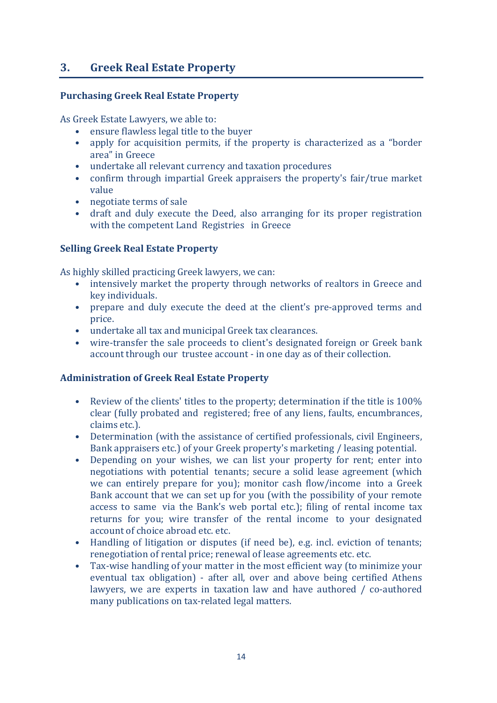## **3. Greek Real Estate Property**

#### **Purchasing Greek Real Estate Property**

As Greek Estate Lawyers, we able to:

- ensure flawless legal title to the buyer
- apply for acquisition permits, if the property is characterized as a "border" area" in Greece
- undertake all relevant currency and taxation procedures
- confirm through impartial Greek appraisers the property's fair/true market value
- negotiate terms of sale
- draft and duly execute the Deed, also arranging for its proper registration with the competent Land Registries in Greece

#### **Selling Greek Real Estate Property**

As highly skilled practicing Greek lawyers, we can:

- intensively market the property through networks of realtors in Greece and key individuals.
- prepare and duly execute the deed at the client's pre-approved terms and price.
- undertake all tax and municipal Greek tax clearances.
- wire-transfer the sale proceeds to client's designated foreign or Greek bank account through our trustee account - in one day as of their collection.

#### **Administration of Greek Real Estate Property**

- Review of the clients' titles to the property; determination if the title is  $100\%$ clear (fully probated and registered; free of any liens, faults, encumbrances, claims etc.).
- Determination (with the assistance of certified professionals, civil Engineers, Bank appraisers etc.) of your Greek property's marketing / leasing potential.
- Depending on your wishes, we can list your property for rent; enter into negotiations with potential tenants; secure a solid lease agreement (which we can entirely prepare for you); monitor cash flow/income into a Greek Bank account that we can set up for you (with the possibility of your remote access to same via the Bank's web portal etc.); filing of rental income tax returns for you; wire transfer of the rental income to your designated account of choice abroad etc. etc.
- Handling of litigation or disputes (if need be), e.g. incl. eviction of tenants; renegotiation of rental price; renewal of lease agreements etc. etc.
- Tax-wise handling of your matter in the most efficient way (to minimize your eventual tax obligation) - after all, over and above being certified Athens lawyers, we are experts in taxation law and have authored  $/$  co-authored many publications on tax-related legal matters.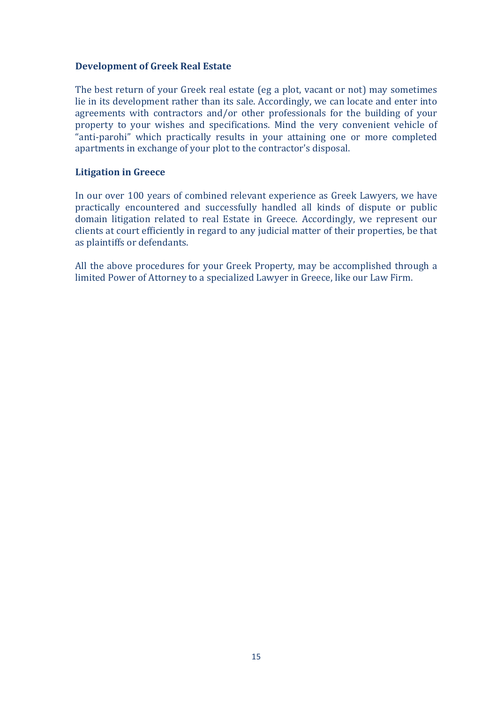#### **Development of Greek Real Estate**

The best return of your Greek real estate (eg a plot, vacant or not) may sometimes lie in its development rather than its sale. Accordingly, we can locate and enter into agreements with contractors and/or other professionals for the building of your property to your wishes and specifications. Mind the very convenient vehicle of "anti-parohi" which practically results in your attaining one or more completed apartments in exchange of your plot to the contractor's disposal.

#### **Litigation in Greece**

In our over 100 years of combined relevant experience as Greek Lawyers, we have practically encountered and successfully handled all kinds of dispute or public domain litigation related to real Estate in Greece. Accordingly, we represent our clients at court efficiently in regard to any judicial matter of their properties, be that as plaintiffs or defendants.

All the above procedures for your Greek Property, may be accomplished through a limited Power of Attorney to a specialized Lawyer in Greece, like our Law Firm.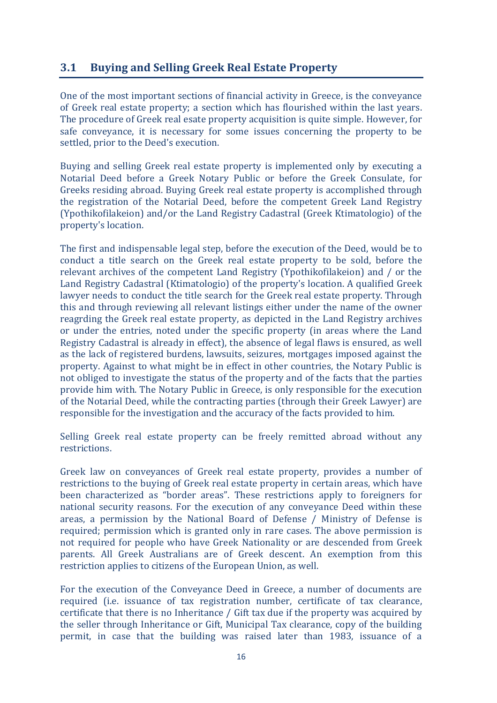## **3.1 Buying and Selling Greek Real Estate Property**

One of the most important sections of financial activity in Greece, is the conveyance of Greek real estate property; a section which has flourished within the last years. The procedure of Greek real esate property acquisition is quite simple. However, for safe conveyance, it is necessary for some issues concerning the property to be settled, prior to the Deed's execution.

Buying and selling Greek real estate property is implemented only by executing a Notarial Deed before a Greek Notary Public or before the Greek Consulate, for Greeks residing abroad. Buying Greek real estate property is accomplished through the registration of the Notarial Deed, before the competent Greek Land Registry (Ypothikofilakeion) and/or the Land Registry Cadastral (Greek Ktimatologio) of the property's location.

The first and indispensable legal step, before the execution of the Deed, would be to conduct a title search on the Greek real estate property to be sold, before the relevant archives of the competent Land Registry (Ypothikofilakeion) and / or the Land Registry Cadastral (Ktimatologio) of the property's location. A qualified Greek lawyer needs to conduct the title search for the Greek real estate property. Through this and through reviewing all relevant listings either under the name of the owner reagrding the Greek real estate property, as depicted in the Land Registry archives or under the entries, noted under the specific property (in areas where the Land Registry Cadastral is already in effect), the absence of legal flaws is ensured, as well as the lack of registered burdens, lawsuits, seizures, mortgages imposed against the property. Against to what might be in effect in other countries, the Notary Public is not obliged to investigate the status of the property and of the facts that the parties provide him with. The Notary Public in Greece, is only responsible for the execution of the Notarial Deed, while the contracting parties (through their Greek Lawyer) are responsible for the investigation and the accuracy of the facts provided to him.

Selling Greek real estate property can be freely remitted abroad without any restrictions.

Greek law on conveyances of Greek real estate property, provides a number of restrictions to the buying of Greek real estate property in certain areas, which have been characterized as "border areas". These restrictions apply to foreigners for national security reasons. For the execution of any conveyance Deed within these areas, a permission by the National Board of Defense / Ministry of Defense is required; permission which is granted only in rare cases. The above permission is not required for people who have Greek Nationality or are descended from Greek parents. All Greek Australians are of Greek descent. An exemption from this restriction applies to citizens of the European Union, as well.

For the execution of the Conveyance Deed in Greece, a number of documents are required (i.e. issuance of tax registration number, certificate of tax clearance, certificate that there is no Inheritance  $/$  Gift tax due if the property was acquired by the seller through Inheritance or Gift, Municipal Tax clearance, copy of the building permit, in case that the building was raised later than 1983, issuance of a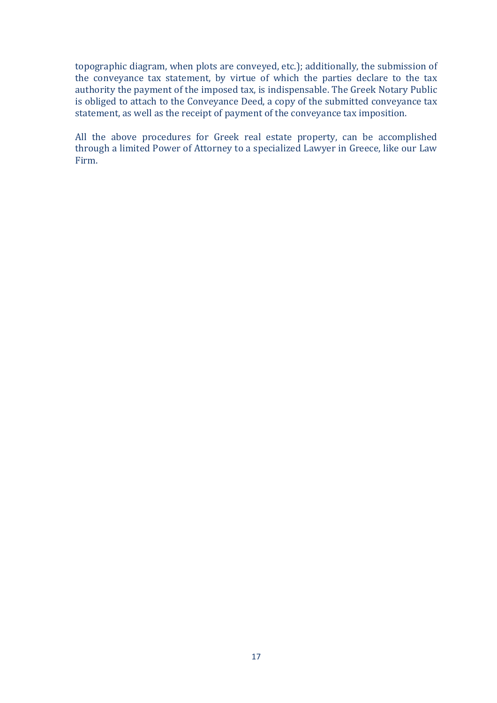topographic diagram, when plots are conveyed, etc.); additionally, the submission of the conveyance tax statement, by virtue of which the parties declare to the tax authority the payment of the imposed tax, is indispensable. The Greek Notary Public is obliged to attach to the Conveyance Deed, a copy of the submitted conveyance tax statement, as well as the receipt of payment of the conveyance tax imposition.

All the above procedures for Greek real estate property, can be accomplished through a limited Power of Attorney to a specialized Lawyer in Greece, like our Law Firm.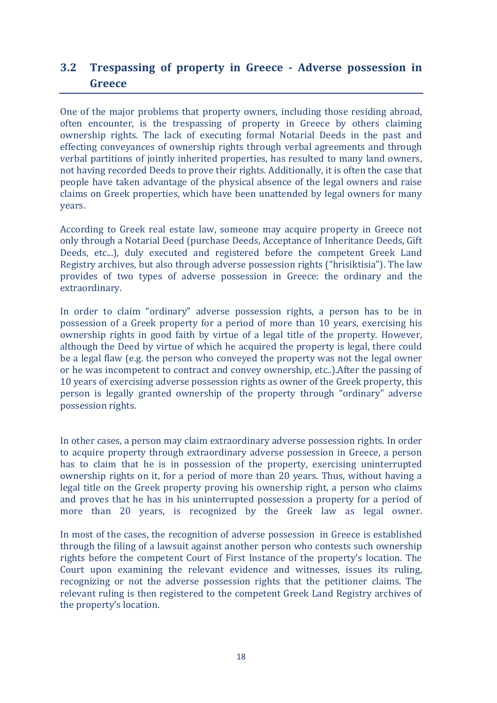## **3.2 Trespassing of property in Greece - Adverse possession in Greece**

One of the major problems that property owners, including those residing abroad, often encounter, is the trespassing of property in Greece by others claiming ownership rights. The lack of executing formal Notarial Deeds in the past and effecting conveyances of ownership rights through verbal agreements and through verbal partitions of jointly inherited properties, has resulted to many land owners, not having recorded Deeds to prove their rights. Additionally, it is often the case that people have taken advantage of the physical absence of the legal owners and raise claims on Greek properties, which have been unattended by legal owners for many years.

According to Greek real estate law, someone may acquire property in Greece not only through a Notarial Deed (purchase Deeds, Acceptance of Inheritance Deeds, Gift Deeds, etc...), duly executed and registered before the competent Greek Land Registry archives, but also through adverse possession rights ("hrisiktisia"). The law provides of two types of adverse possession in Greece: the ordinary and the extraordinary.

In order to claim "ordinary" adverse possession rights, a person has to be in possession of a Greek property for a period of more than 10 years, exercising his ownership rights in good faith by virtue of a legal title of the property. However, although the Deed by virtue of which he acquired the property is legal, there could be a legal flaw (e.g. the person who conveyed the property was not the legal owner or he was incompetent to contract and convey ownership, etc..).After the passing of 10 years of exercising adverse possession rights as owner of the Greek property, this person is legally granted ownership of the property through "ordinary" adverse possession rights.

In other cases, a person may claim extraordinary adverse possession rights. In order to acquire property through extraordinary adverse possession in Greece, a person has to claim that he is in possession of the property, exercising uninterrupted ownership rights on it, for a period of more than 20 years. Thus, without having a legal title on the Greek property proving his ownership right, a person who claims and proves that he has in his uninterrupted possession a property for a period of more than 20 years, is recognized by the Greek law as legal owner.

In most of the cases, the recognition of adverse possession in Greece is established through the filing of a lawsuit against another person who contests such ownership rights before the competent Court of First Instance of the property's location. The Court upon examining the relevant evidence and witnesses, issues its ruling, recognizing or not the adverse possession rights that the petitioner claims. The relevant ruling is then registered to the competent Greek Land Registry archives of the property's location.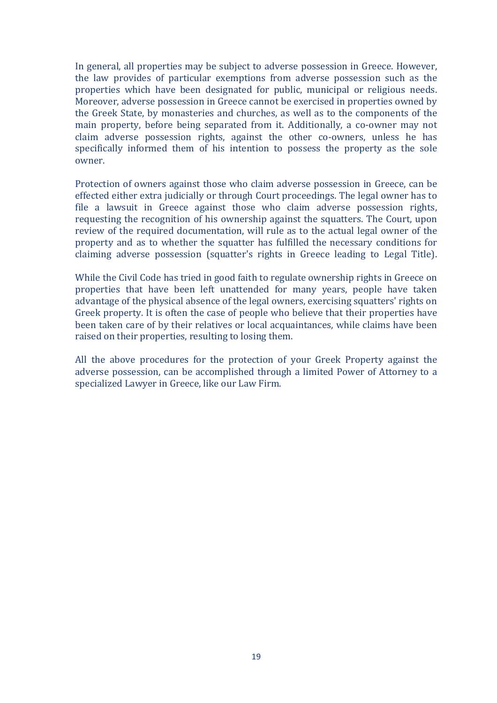In general, all properties may be subject to adverse possession in Greece. However, the law provides of particular exemptions from adverse possession such as the properties which have been designated for public, municipal or religious needs. Moreover, adverse possession in Greece cannot be exercised in properties owned by the Greek State, by monasteries and churches, as well as to the components of the main property, before being separated from it. Additionally, a co-owner may not claim adverse possession rights, against the other co-owners, unless he has specifically informed them of his intention to possess the property as the sole owner.

Protection of owners against those who claim adverse possession in Greece, can be effected either extra judicially or through Court proceedings. The legal owner has to file a lawsuit in Greece against those who claim adverse possession rights, requesting the recognition of his ownership against the squatters. The Court, upon review of the required documentation, will rule as to the actual legal owner of the property and as to whether the squatter has fulfilled the necessary conditions for claiming adverse possession (squatter's rights in Greece leading to Legal Title).

While the Civil Code has tried in good faith to regulate ownership rights in Greece on properties that have been left unattended for many years, people have taken advantage of the physical absence of the legal owners, exercising squatters' rights on Greek property. It is often the case of people who believe that their properties have been taken care of by their relatives or local acquaintances, while claims have been raised on their properties, resulting to losing them.

All the above procedures for the protection of your Greek Property against the adverse possession, can be accomplished through a limited Power of Attorney to a specialized Lawyer in Greece, like our Law Firm.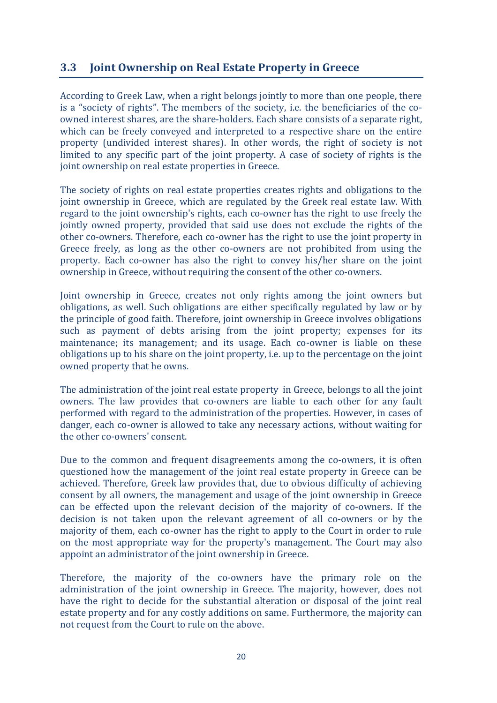## **3.3 Joint Ownership on Real Estate Property in Greece**

According to Greek Law, when a right belongs jointly to more than one people, there is a "society of rights". The members of the society, i.e. the beneficiaries of the coowned interest shares, are the share-holders. Each share consists of a separate right, which can be freely conveyed and interpreted to a respective share on the entire property (undivided interest shares). In other words, the right of society is not limited to any specific part of the joint property. A case of society of rights is the joint ownership on real estate properties in Greece.

The society of rights on real estate properties creates rights and obligations to the joint ownership in Greece, which are regulated by the Greek real estate law. With regard to the joint ownership's rights, each co-owner has the right to use freely the jointly owned property, provided that said use does not exclude the rights of the other co-owners. Therefore, each co-owner has the right to use the joint property in Greece freely, as long as the other co-owners are not prohibited from using the property. Each co-owner has also the right to convey his/her share on the joint ownership in Greece, without requiring the consent of the other co-owners.

Joint ownership in Greece, creates not only rights among the joint owners but obligations, as well. Such obligations are either specifically regulated by law or by the principle of good faith. Therefore, joint ownership in Greece involves obligations such as payment of debts arising from the joint property; expenses for its maintenance; its management; and its usage. Each co-owner is liable on these obligations up to his share on the joint property, i.e. up to the percentage on the joint owned property that he owns.

The administration of the joint real estate property in Greece, belongs to all the joint owners. The law provides that co-owners are liable to each other for any fault performed with regard to the administration of the properties. However, in cases of danger, each co-owner is allowed to take any necessary actions, without waiting for the other co-owners' consent.

Due to the common and frequent disagreements among the co-owners, it is often questioned how the management of the joint real estate property in Greece can be achieved. Therefore, Greek law provides that, due to obvious difficulty of achieving consent by all owners, the management and usage of the joint ownership in Greece can be effected upon the relevant decision of the majority of co-owners. If the decision is not taken upon the relevant agreement of all co-owners or by the majority of them, each co-owner has the right to apply to the Court in order to rule on the most appropriate way for the property's management. The Court may also appoint an administrator of the joint ownership in Greece.

Therefore, the majority of the co-owners have the primary role on the administration of the joint ownership in Greece. The majority, however, does not have the right to decide for the substantial alteration or disposal of the joint real estate property and for any costly additions on same. Furthermore, the majority can not request from the Court to rule on the above.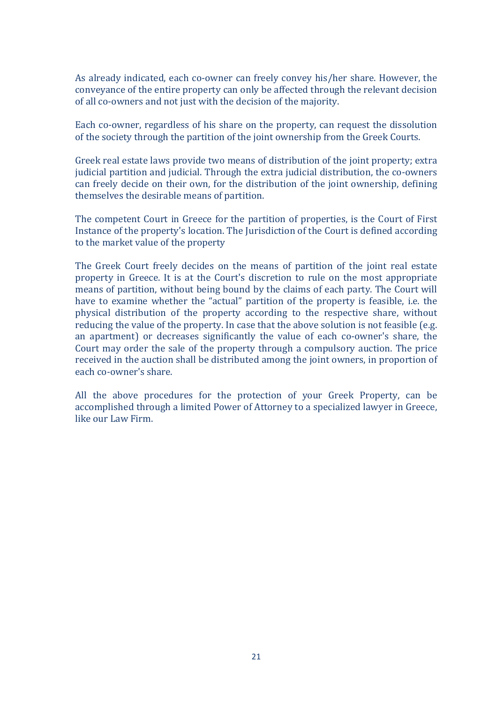As already indicated, each co-owner can freely convey his/her share. However, the conveyance of the entire property can only be affected through the relevant decision of all co-owners and not just with the decision of the majority.

Each co-owner, regardless of his share on the property, can request the dissolution of the society through the partition of the joint ownership from the Greek Courts.

Greek real estate laws provide two means of distribution of the joint property; extra judicial partition and judicial. Through the extra judicial distribution, the co-owners can freely decide on their own, for the distribution of the joint ownership, defining themselves the desirable means of partition.

The competent Court in Greece for the partition of properties, is the Court of First Instance of the property's location. The Jurisdiction of the Court is defined according to the market value of the property

The Greek Court freely decides on the means of partition of the joint real estate property in Greece. It is at the Court's discretion to rule on the most appropriate means of partition, without being bound by the claims of each party. The Court will have to examine whether the "actual" partition of the property is feasible, i.e. the physical distribution of the property according to the respective share, without reducing the value of the property. In case that the above solution is not feasible (e.g. an apartment) or decreases significantly the value of each co-owner's share, the Court may order the sale of the property through a compulsory auction. The price received in the auction shall be distributed among the joint owners, in proportion of each co-owner's share.

All the above procedures for the protection of your Greek Property, can be accomplished through a limited Power of Attorney to a specialized lawyer in Greece, like our Law Firm.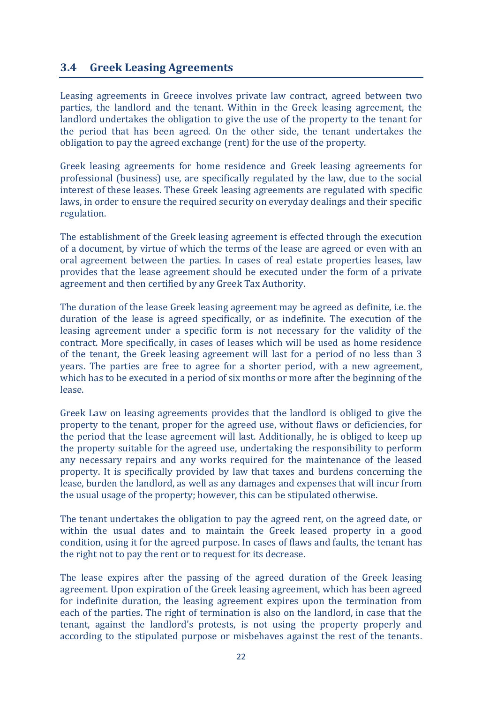### **3.4 Greek Leasing Agreements**

Leasing agreements in Greece involves private law contract, agreed between two parties, the landlord and the tenant. Within in the Greek leasing agreement, the landlord undertakes the obligation to give the use of the property to the tenant for the period that has been agreed. On the other side, the tenant undertakes the obligation to pay the agreed exchange (rent) for the use of the property.

Greek leasing agreements for home residence and Greek leasing agreements for professional (business) use, are specifically regulated by the law, due to the social interest of these leases. These Greek leasing agreements are regulated with specific laws, in order to ensure the required security on everyday dealings and their specific regulation.

The establishment of the Greek leasing agreement is effected through the execution of a document, by virtue of which the terms of the lease are agreed or even with an oral agreement between the parties. In cases of real estate properties leases, law provides that the lease agreement should be executed under the form of a private agreement and then certified by any Greek Tax Authority.

The duration of the lease Greek leasing agreement may be agreed as definite, i.e. the duration of the lease is agreed specifically, or as indefinite. The execution of the leasing agreement under a specific form is not necessary for the validity of the contract. More specifically, in cases of leases which will be used as home residence of the tenant, the Greek leasing agreement will last for a period of no less than 3 years. The parties are free to agree for a shorter period, with a new agreement, which has to be executed in a period of six months or more after the beginning of the lease.

Greek Law on leasing agreements provides that the landlord is obliged to give the property to the tenant, proper for the agreed use, without flaws or deficiencies, for the period that the lease agreement will last. Additionally, he is obliged to keep up the property suitable for the agreed use, undertaking the responsibility to perform any necessary repairs and any works required for the maintenance of the leased property. It is specifically provided by law that taxes and burdens concerning the lease, burden the landlord, as well as any damages and expenses that will incur from the usual usage of the property; however, this can be stipulated otherwise.

The tenant undertakes the obligation to pay the agreed rent, on the agreed date, or within the usual dates and to maintain the Greek leased property in a good condition, using it for the agreed purpose. In cases of flaws and faults, the tenant has the right not to pay the rent or to request for its decrease.

The lease expires after the passing of the agreed duration of the Greek leasing agreement. Upon expiration of the Greek leasing agreement, which has been agreed for indefinite duration, the leasing agreement expires upon the termination from each of the parties. The right of termination is also on the landlord, in case that the tenant, against the landlord's protests, is not using the property properly and according to the stipulated purpose or misbehaves against the rest of the tenants.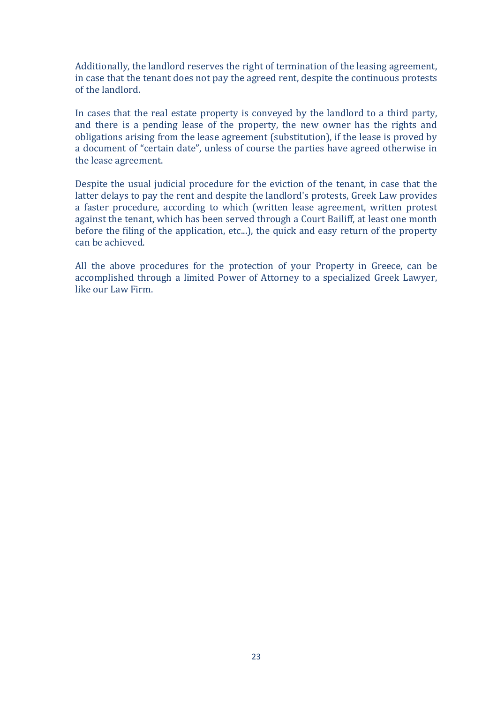Additionally, the landlord reserves the right of termination of the leasing agreement, in case that the tenant does not pay the agreed rent, despite the continuous protests of the landlord.

In cases that the real estate property is conveyed by the landlord to a third party, and there is a pending lease of the property, the new owner has the rights and obligations arising from the lease agreement (substitution), if the lease is proved by a document of "certain date", unless of course the parties have agreed otherwise in the lease agreement.

Despite the usual judicial procedure for the eviction of the tenant, in case that the latter delays to pay the rent and despite the landlord's protests, Greek Law provides a faster procedure, according to which (written lease agreement, written protest against the tenant, which has been served through a Court Bailiff, at least one month before the filing of the application, etc...), the quick and easy return of the property can be achieved.

All the above procedures for the protection of your Property in Greece, can be accomplished through a limited Power of Attorney to a specialized Greek Lawyer, like our Law Firm.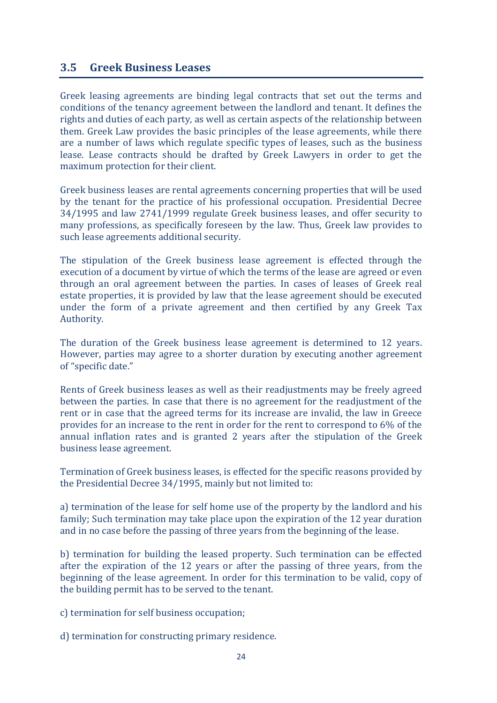#### **3.5 Greek Business Leases**

Greek leasing agreements are binding legal contracts that set out the terms and conditions of the tenancy agreement between the landlord and tenant. It defines the rights and duties of each party, as well as certain aspects of the relationship between them. Greek Law provides the basic principles of the lease agreements, while there are a number of laws which regulate specific types of leases, such as the business lease. Lease contracts should be drafted by Greek Lawyers in order to get the maximum protection for their client.

Greek business leases are rental agreements concerning properties that will be used by the tenant for the practice of his professional occupation. Presidential Decree 34/1995 and law 2741/1999 regulate Greek business leases, and offer security to many professions, as specifically foreseen by the law. Thus, Greek law provides to such lease agreements additional security.

The stipulation of the Greek business lease agreement is effected through the execution of a document by virtue of which the terms of the lease are agreed or even through an oral agreement between the parties. In cases of leases of Greek real estate properties, it is provided by law that the lease agreement should be executed under the form of a private agreement and then certified by any Greek Tax Authority.

The duration of the Greek business lease agreement is determined to 12 years. However, parties may agree to a shorter duration by executing another agreement of "specific date."

Rents of Greek business leases as well as their readjustments may be freely agreed between the parties. In case that there is no agreement for the readjustment of the rent or in case that the agreed terms for its increase are invalid, the law in Greece provides for an increase to the rent in order for the rent to correspond to 6% of the annual inflation rates and is granted 2 years after the stipulation of the Greek business lease agreement.

Termination of Greek business leases, is effected for the specific reasons provided by the Presidential Decree 34/1995, mainly but not limited to:

a) termination of the lease for self home use of the property by the landlord and his family; Such termination may take place upon the expiration of the 12 year duration and in no case before the passing of three years from the beginning of the lease.

b) termination for building the leased property. Such termination can be effected after the expiration of the 12 years or after the passing of three years, from the beginning of the lease agreement. In order for this termination to be valid, copy of the building permit has to be served to the tenant.

c) termination for self business occupation;

d) termination for constructing primary residence.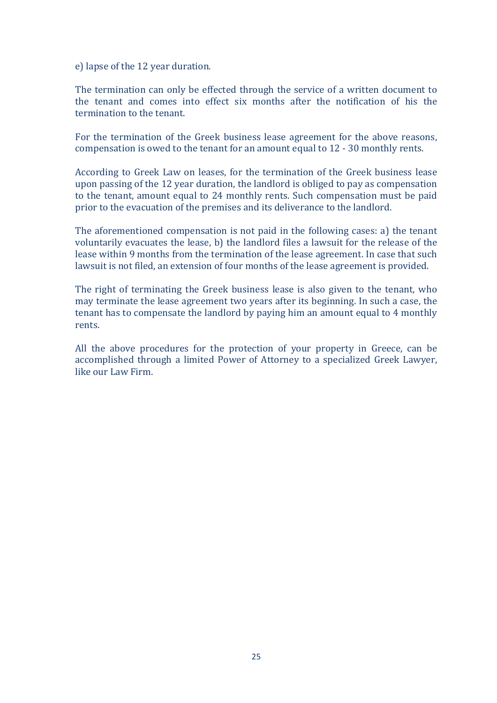e) lapse of the 12 year duration.

The termination can only be effected through the service of a written document to the tenant and comes into effect six months after the notification of his the termination to the tenant.

For the termination of the Greek business lease agreement for the above reasons, compensation is owed to the tenant for an amount equal to  $12 - 30$  monthly rents.

According to Greek Law on leases, for the termination of the Greek business lease upon passing of the 12 year duration, the landlord is obliged to pay as compensation to the tenant, amount equal to 24 monthly rents. Such compensation must be paid prior to the evacuation of the premises and its deliverance to the landlord.

The aforementioned compensation is not paid in the following cases: a) the tenant voluntarily evacuates the lease, b) the landlord files a lawsuit for the release of the lease within 9 months from the termination of the lease agreement. In case that such lawsuit is not filed, an extension of four months of the lease agreement is provided.

The right of terminating the Greek business lease is also given to the tenant, who may terminate the lease agreement two years after its beginning. In such a case, the tenant has to compensate the landlord by paying him an amount equal to 4 monthly rents.

All the above procedures for the protection of your property in Greece, can be accomplished through a limited Power of Attorney to a specialized Greek Lawyer, like our Law Firm.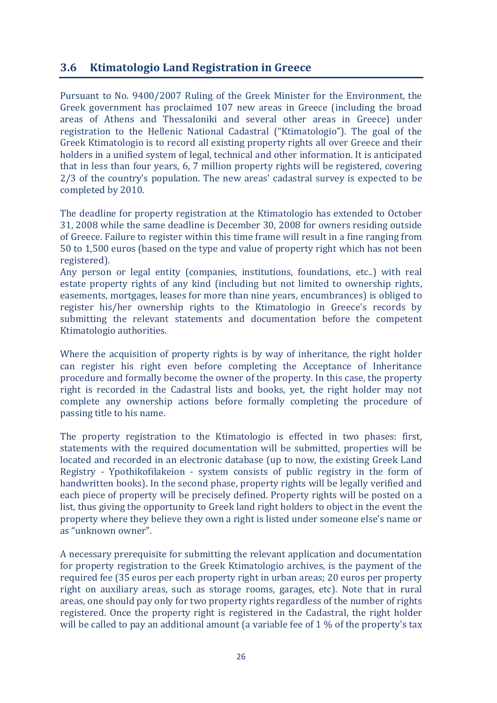## **3.6 Ktimatologio Land Registration in Greece**

Pursuant to No. 9400/2007 Ruling of the Greek Minister for the Environment, the Greek government has proclaimed 107 new areas in Greece (including the broad areas of Athens and Thessaloniki and several other areas in Greece) under registration to the Hellenic National Cadastral ("Ktimatologio"). The goal of the Greek Ktimatologio is to record all existing property rights all over Greece and their holders in a unified system of legal, technical and other information. It is anticipated that in less than four years, 6, 7 million property rights will be registered, covering 2/3 of the country's population. The new areas' cadastral survey is expected to be completed by 2010.

The deadline for property registration at the Ktimatologio has extended to October 31, 2008 while the same deadline is December 30, 2008 for owners residing outside of Greece. Failure to register within this time frame will result in a fine ranging from 50 to 1,500 euros (based on the type and value of property right which has not been registered).

Any person or legal entity (companies, institutions, foundations, etc..) with real estate property rights of any kind (including but not limited to ownership rights, easements, mortgages, leases for more than nine years, encumbrances) is obliged to register his/her ownership rights to the Ktimatologio in Greece's records by submitting the relevant statements and documentation before the competent Ktimatologio authorities.

Where the acquisition of property rights is by way of inheritance, the right holder can register his right even before completing the Acceptance of Inheritance procedure and formally become the owner of the property. In this case, the property right is recorded in the Cadastral lists and books, yet, the right holder may not complete any ownership actions before formally completing the procedure of passing title to his name.

The property registration to the Ktimatologio is effected in two phases: first, statements with the required documentation will be submitted, properties will be located and recorded in an electronic database (up to now, the existing Greek Land Registry - Ypothikofilakeion - system consists of public registry in the form of handwritten books). In the second phase, property rights will be legally verified and each piece of property will be precisely defined. Property rights will be posted on a list, thus giving the opportunity to Greek land right holders to object in the event the property where they believe they own a right is listed under someone else's name or as "unknown owner".

A necessary prerequisite for submitting the relevant application and documentation for property registration to the Greek Ktimatologio archives, is the payment of the required fee (35 euros per each property right in urban areas; 20 euros per property right on auxiliary areas, such as storage rooms, garages, etc). Note that in rural areas, one should pay only for two property rights regardless of the number of rights registered. Once the property right is registered in the Cadastral, the right holder will be called to pay an additional amount (a variable fee of  $1\%$  of the property's tax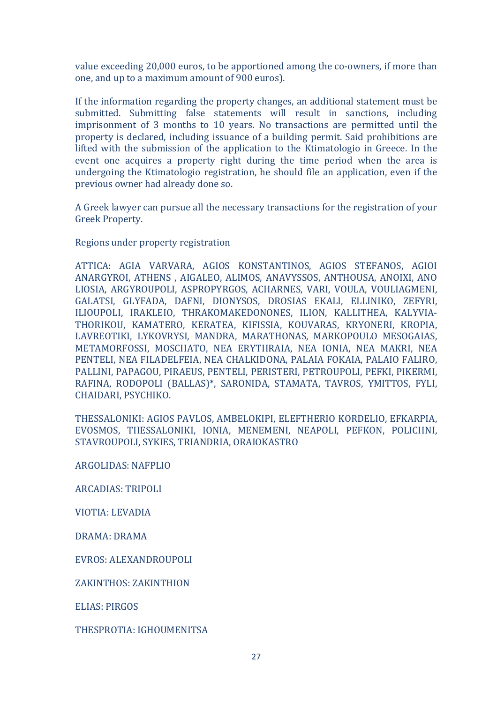value exceeding 20,000 euros, to be apportioned among the co-owners, if more than one, and up to a maximum amount of 900 euros).

If the information regarding the property changes, an additional statement must be submitted. Submitting false statements will result in sanctions, including imprisonment of 3 months to 10 years. No transactions are permitted until the property is declared, including issuance of a building permit. Said prohibitions are lifted with the submission of the application to the Ktimatologio in Greece. In the event one acquires a property right during the time period when the area is undergoing the Ktimatologio registration, he should file an application, even if the previous owner had already done so.

A Greek lawyer can pursue all the necessary transactions for the registration of your Greek Property.

Regions under property registration

ATTICA: AGIA VARVARA, AGIOS KONSTANTINOS, AGIOS STEFANOS, AGIOI ANARGYROI, ATHENS, AIGALEO, ALIMOS, ANAVYSSOS, ANTHOUSA, ANOIXI, ANO LIOSIA, ARGYROUPOLI, ASPROPYRGOS, ACHARNES, VARI, VOULA, VOULIAGMENI, GALATSI, GLYFADA, DAFNI, DIONYSOS, DROSIAS EKALI, ELLINIKO, ZEFYRI, ILIOUPOLI, IRAKLEIO, THRAKOMAKEDONONES, ILION, KALLITHEA, KALYVIA-THORIKOU, KAMATERO, KERATEA, KIFISSIA, KOUVARAS, KRYONERI, KROPIA, LAVREOTIKI, LYKOVRYSI, MANDRA, MARATHONAS, MARKOPOULO MESOGAIAS, METAMORFOSSI, MOSCHATO, NEA ERYTHRAIA, NEA IONIA, NEA MAKRI, NEA PENTELI, NEA FILADELFEIA, NEA CHALKIDONA, PALAIA FOKAIA, PALAIO FALIRO, PALLINI, PAPAGOU, PIRAEUS, PENTELI, PERISTERI, PETROUPOLI, PEFKI, PIKERMI, RAFINA, RODOPOLI (BALLAS)\*, SARONIDA, STAMATA, TAVROS, YMITTOS, FYLI, CHAIDARI, PSYCHIKO.

THESSALONIKI: AGIOS PAVLOS, AMBELOKIPI, ELEFTHERIO KORDELIO, EFKARPIA, EVOSMOS, THESSALONIKI, IONIA, MENEMENI, NEAPOLI, PEFKON, POLICHNI, STAVROUPOLI, SYKIES, TRIANDRIA, ORAIOKASTRO

ARGOLIDAS: NAFPLIO

**ARCADIAS: TRIPOLI** 

VIOTIA: LEVADIA

DRAMA: DRAMA

EVROS: ALEXANDROUPOLI

ZAKINTHOS: ZAKINTHION

ELIAS: PIRGOS

THESPROTIA: IGHOUMENITSA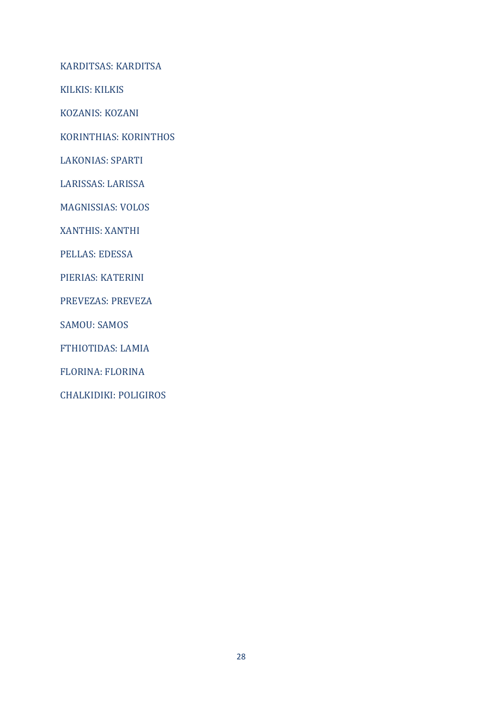KARDITSAS: KARDITSA

KILKIS: KILKIS

KOZANIS: KOZANI

KORINTHIAS: KORINTHOS

LAKONIAS: SPARTI

LARISSAS: LARISSA

MAGNISSIAS: VOLOS

XANTHIS: XANTHI

PELLAS: EDESSA

PIERIAS: KATERINI

PREVEZAS: PREVEZA

**SAMOU: SAMOS** 

FTHIOTIDAS: LAMIA

FLORINA: FLORINA

CHALKIDIKI: POLIGIROS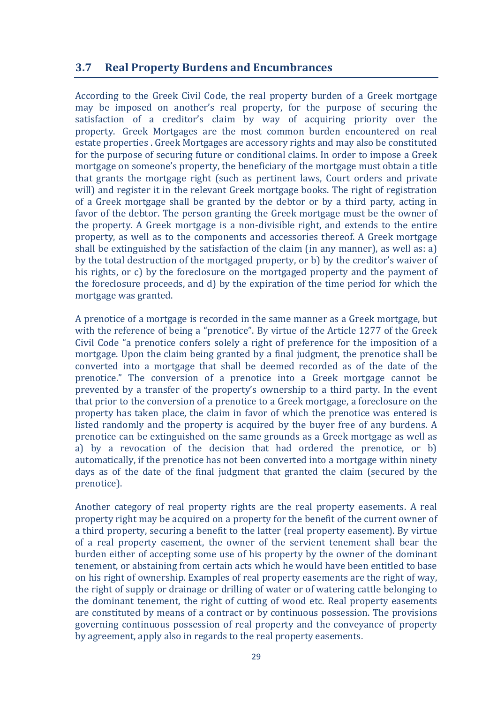## **3.7 Real Property Burdens and Encumbrances**

According to the Greek Civil Code, the real property burden of a Greek mortgage may be imposed on another's real property, for the purpose of securing the satisfaction of a creditor's claim by way of acquiring priority over the property. Greek Mortgages are the most common burden encountered on real estate properties . Greek Mortgages are accessory rights and may also be constituted for the purpose of securing future or conditional claims. In order to impose a Greek mortgage on someone's property, the beneficiary of the mortgage must obtain a title that grants the mortgage right (such as pertinent laws, Court orders and private will) and register it in the relevant Greek mortgage books. The right of registration of a Greek mortgage shall be granted by the debtor or by a third party, acting in favor of the debtor. The person granting the Greek mortgage must be the owner of the property. A Greek mortgage is a non-divisible right, and extends to the entire property, as well as to the components and accessories thereof. A Greek mortgage shall be extinguished by the satisfaction of the claim (in any manner), as well as: a) by the total destruction of the mortgaged property, or b) by the creditor's waiver of his rights, or c) by the foreclosure on the mortgaged property and the payment of the foreclosure proceeds, and d) by the expiration of the time period for which the mortgage was granted.

A prenotice of a mortgage is recorded in the same manner as a Greek mortgage, but with the reference of being a "prenotice". By virtue of the Article 1277 of the Greek Civil Code "a prenotice confers solely a right of preference for the imposition of a mortgage. Upon the claim being granted by a final judgment, the prenotice shall be converted into a mortgage that shall be deemed recorded as of the date of the prenotice." The conversion of a prenotice into a Greek mortgage cannot be prevented by a transfer of the property's ownership to a third party. In the event that prior to the conversion of a prenotice to a Greek mortgage, a foreclosure on the property has taken place, the claim in favor of which the prenotice was entered is listed randomly and the property is acquired by the buyer free of any burdens. A prenotice can be extinguished on the same grounds as a Greek mortgage as well as a) by a revocation of the decision that had ordered the prenotice, or  $b$ ) automatically, if the prenotice has not been converted into a mortgage within ninety days as of the date of the final judgment that granted the claim (secured by the prenotice).

Another category of real property rights are the real property easements. A real property right may be acquired on a property for the benefit of the current owner of a third property, securing a benefit to the latter (real property easement). By virtue of a real property easement, the owner of the servient tenement shall bear the burden either of accepting some use of his property by the owner of the dominant tenement, or abstaining from certain acts which he would have been entitled to base on his right of ownership. Examples of real property easements are the right of way, the right of supply or drainage or drilling of water or of watering cattle belonging to the dominant tenement, the right of cutting of wood etc. Real property easements are constituted by means of a contract or by continuous possession. The provisions governing continuous possession of real property and the conveyance of property by agreement, apply also in regards to the real property easements.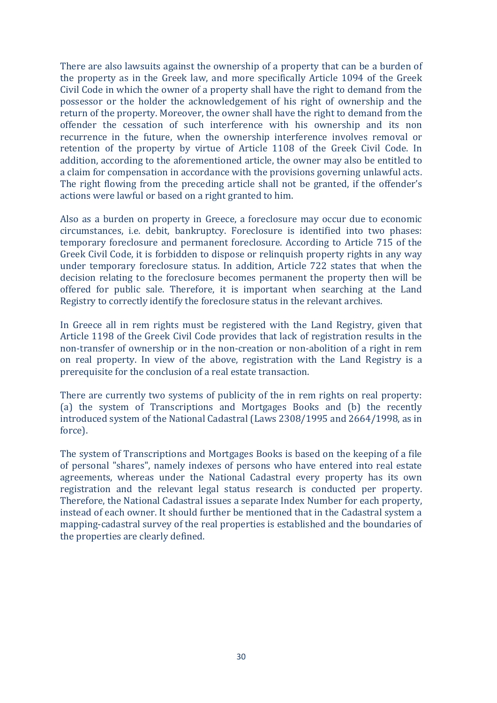There are also lawsuits against the ownership of a property that can be a burden of the property as in the Greek law, and more specifically Article 1094 of the Greek Civil Code in which the owner of a property shall have the right to demand from the possessor or the holder the acknowledgement of his right of ownership and the return of the property. Moreover, the owner shall have the right to demand from the offender the cessation of such interference with his ownership and its non recurrence in the future, when the ownership interference involves removal or retention of the property by virtue of Article 1108 of the Greek Civil Code. In addition, according to the aforementioned article, the owner may also be entitled to a claim for compensation in accordance with the provisions governing unlawful acts. The right flowing from the preceding article shall not be granted, if the offender's actions were lawful or based on a right granted to him.

Also as a burden on property in Greece, a foreclosure may occur due to economic circumstances, i.e. debit, bankruptcy. Foreclosure is identified into two phases: temporary foreclosure and permanent foreclosure. According to Article 715 of the Greek Civil Code, it is forbidden to dispose or relinquish property rights in any way under temporary foreclosure status. In addition, Article 722 states that when the decision relating to the foreclosure becomes permanent the property then will be offered for public sale. Therefore, it is important when searching at the Land Registry to correctly identify the foreclosure status in the relevant archives.

In Greece all in rem rights must be registered with the Land Registry, given that Article 1198 of the Greek Civil Code provides that lack of registration results in the non-transfer of ownership or in the non-creation or non-abolition of a right in rem on real property. In view of the above, registration with the Land Registry is a prerequisite for the conclusion of a real estate transaction.

There are currently two systems of publicity of the in rem rights on real property: (a) the system of Transcriptions and Mortgages Books and (b) the recently introduced system of the National Cadastral (Laws 2308/1995 and 2664/1998, as in force).

The system of Transcriptions and Mortgages Books is based on the keeping of a file of personal "shares", namely indexes of persons who have entered into real estate agreements, whereas under the National Cadastral every property has its own registration and the relevant legal status research is conducted per property. Therefore, the National Cadastral issues a separate Index Number for each property, instead of each owner. It should further be mentioned that in the Cadastral system a mapping-cadastral survey of the real properties is established and the boundaries of the properties are clearly defined.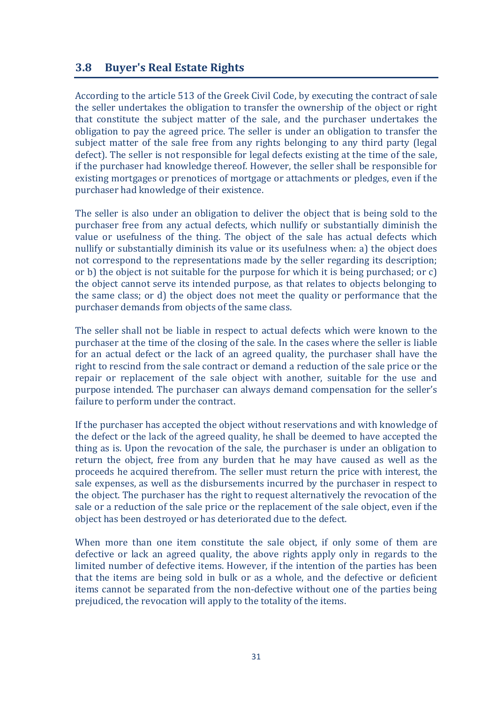#### **3.8 Buyer's Real Estate Rights**

According to the article 513 of the Greek Civil Code, by executing the contract of sale the seller undertakes the obligation to transfer the ownership of the object or right that constitute the subject matter of the sale, and the purchaser undertakes the obligation to pay the agreed price. The seller is under an obligation to transfer the subject matter of the sale free from any rights belonging to any third party (legal defect). The seller is not responsible for legal defects existing at the time of the sale, if the purchaser had knowledge thereof. However, the seller shall be responsible for existing mortgages or prenotices of mortgage or attachments or pledges, even if the purchaser had knowledge of their existence.

The seller is also under an obligation to deliver the object that is being sold to the purchaser free from any actual defects, which nullify or substantially diminish the value or usefulness of the thing. The object of the sale has actual defects which nullify or substantially diminish its value or its usefulness when: a) the object does not correspond to the representations made by the seller regarding its description; or b) the object is not suitable for the purpose for which it is being purchased; or  $c$ ) the object cannot serve its intended purpose, as that relates to objects belonging to the same class; or d) the object does not meet the quality or performance that the purchaser demands from objects of the same class.

The seller shall not be liable in respect to actual defects which were known to the purchaser at the time of the closing of the sale. In the cases where the seller is liable for an actual defect or the lack of an agreed quality, the purchaser shall have the right to rescind from the sale contract or demand a reduction of the sale price or the repair or replacement of the sale object with another, suitable for the use and purpose intended. The purchaser can always demand compensation for the seller's failure to perform under the contract.

If the purchaser has accepted the object without reservations and with knowledge of the defect or the lack of the agreed quality, he shall be deemed to have accepted the thing as is. Upon the revocation of the sale, the purchaser is under an obligation to return the object, free from any burden that he may have caused as well as the proceeds he acquired therefrom. The seller must return the price with interest, the sale expenses, as well as the disbursements incurred by the purchaser in respect to the object. The purchaser has the right to request alternatively the revocation of the sale or a reduction of the sale price or the replacement of the sale object, even if the object has been destroyed or has deteriorated due to the defect.

When more than one item constitute the sale object, if only some of them are defective or lack an agreed quality, the above rights apply only in regards to the limited number of defective items. However, if the intention of the parties has been that the items are being sold in bulk or as a whole, and the defective or deficient items cannot be separated from the non-defective without one of the parties being prejudiced, the revocation will apply to the totality of the items.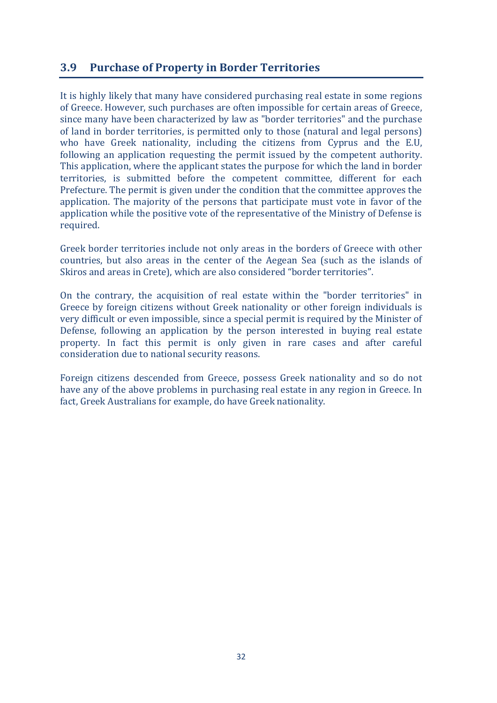## **3.9** Purchase of Property in Border Territories

It is highly likely that many have considered purchasing real estate in some regions of Greece. However, such purchases are often impossible for certain areas of Greece, since many have been characterized by law as "border territories" and the purchase of land in border territories, is permitted only to those (natural and legal persons) who have Greek nationality, including the citizens from Cyprus and the E.U. following an application requesting the permit issued by the competent authority. This application, where the applicant states the purpose for which the land in border territories, is submitted before the competent committee, different for each Prefecture. The permit is given under the condition that the committee approves the application. The majority of the persons that participate must vote in favor of the application while the positive yote of the representative of the Ministry of Defense is required.

Greek border territories include not only areas in the borders of Greece with other countries, but also areas in the center of the Aegean Sea (such as the islands of Skiros and areas in Crete), which are also considered "border territories".

On the contrary, the acquisition of real estate within the "border territories" in Greece by foreign citizens without Greek nationality or other foreign individuals is very difficult or even impossible, since a special permit is required by the Minister of Defense, following an application by the person interested in buying real estate property. In fact this permit is only given in rare cases and after careful consideration due to national security reasons.

Foreign citizens descended from Greece, possess Greek nationality and so do not have any of the above problems in purchasing real estate in any region in Greece. In fact, Greek Australians for example, do have Greek nationality.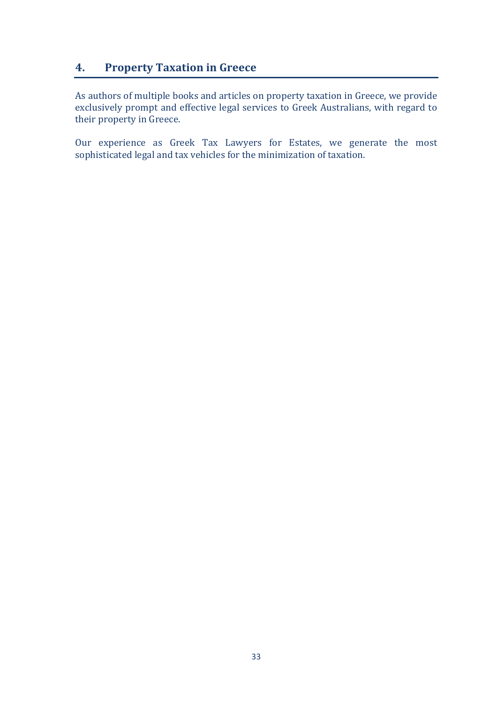## **4.** Property Taxation in Greece

As authors of multiple books and articles on property taxation in Greece, we provide exclusively prompt and effective legal services to Greek Australians, with regard to their property in Greece.

Our experience as Greek Tax Lawyers for Estates, we generate the most sophisticated legal and tax vehicles for the minimization of taxation.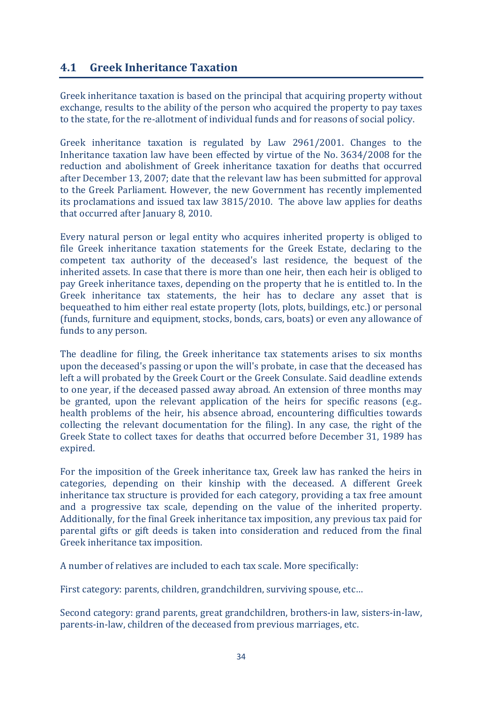## **4.1 Greek Inheritance Taxation**

Greek inheritance taxation is based on the principal that acquiring property without exchange, results to the ability of the person who acquired the property to pay taxes to the state, for the re-allotment of individual funds and for reasons of social policy.

Greek inheritance taxation is regulated by Law 2961/2001. Changes to the Inheritance taxation law have been effected by virtue of the No. 3634/2008 for the reduction and abolishment of Greek inheritance taxation for deaths that occurred after December 13, 2007; date that the relevant law has been submitted for approval to the Greek Parliament. However, the new Government has recently implemented its proclamations and issued tax law 3815/2010. The above law applies for deaths that occurred after January 8, 2010.

Every natural person or legal entity who acquires inherited property is obliged to file Greek inheritance taxation statements for the Greek Estate, declaring to the competent tax authority of the deceased's last residence, the bequest of the inherited assets. In case that there is more than one heir, then each heir is obliged to pay Greek inheritance taxes, depending on the property that he is entitled to. In the Greek inheritance tax statements, the heir has to declare any asset that is bequeathed to him either real estate property (lots, plots, buildings, etc.) or personal (funds, furniture and equipment, stocks, bonds, cars, boats) or even any allowance of funds to any person.

The deadline for filing, the Greek inheritance tax statements arises to six months upon the deceased's passing or upon the will's probate, in case that the deceased has left a will probated by the Greek Court or the Greek Consulate. Said deadline extends to one year, if the deceased passed away abroad. An extension of three months may be granted, upon the relevant application of the heirs for specific reasons (e.g..) health problems of the heir, his absence abroad, encountering difficulties towards collecting the relevant documentation for the filing). In any case, the right of the Greek State to collect taxes for deaths that occurred before December 31, 1989 has expired.

For the imposition of the Greek inheritance tax, Greek law has ranked the heirs in categories, depending on their kinship with the deceased. A different Greek inheritance tax structure is provided for each category, providing a tax free amount and a progressive tax scale, depending on the value of the inherited property. Additionally, for the final Greek inheritance tax imposition, any previous tax paid for parental gifts or gift deeds is taken into consideration and reduced from the final Greek inheritance tax imposition.

A number of relatives are included to each tax scale. More specifically:

First category: parents, children, grandchildren, surviving spouse, etc...

Second category: grand parents, great grandchildren, brothers-in law, sisters-in-law, parents-in-law, children of the deceased from previous marriages, etc.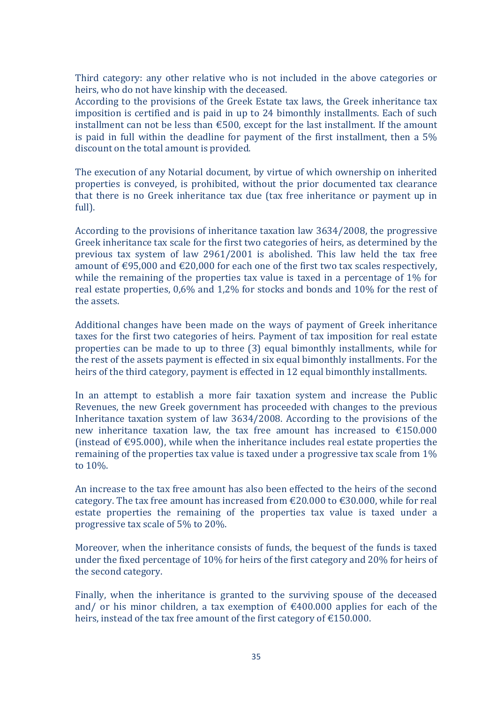Third category: any other relative who is not included in the above categories or heirs, who do not have kinship with the deceased.

According to the provisions of the Greek Estate tax laws, the Greek inheritance tax imposition is certified and is paid in up to 24 bimonthly installments. Each of such installment can not be less than  $\epsilon$ 500, except for the last installment. If the amount is paid in full within the deadline for payment of the first installment, then a  $5%$ discount on the total amount is provided.

The execution of any Notarial document, by virtue of which ownership on inherited properties is conveyed, is prohibited, without the prior documented tax clearance that there is no Greek inheritance tax due (tax free inheritance or payment up in full).

According to the provisions of inheritance taxation law  $3634/2008$ , the progressive Greek inheritance tax scale for the first two categories of heirs, as determined by the previous tax system of law  $2961/2001$  is abolished. This law held the tax free amount of  $\text{\textsterling}95,000$  and  $\text{\textsterling}20,000$  for each one of the first two tax scales respectively, while the remaining of the properties tax value is taxed in a percentage of  $1\%$  for real estate properties,  $0.6\%$  and  $1.2\%$  for stocks and bonds and  $10\%$  for the rest of the assets.

Additional changes have been made on the ways of payment of Greek inheritance taxes for the first two categories of heirs. Payment of tax imposition for real estate properties can be made to up to three (3) equal bimonthly installments, while for the rest of the assets payment is effected in six equal bimonthly installments. For the heirs of the third category, payment is effected in 12 equal bimonthly installments.

In an attempt to establish a more fair taxation system and increase the Public Revenues, the new Greek government has proceeded with changes to the previous Inheritance taxation system of law  $3634/2008$ . According to the provisions of the new inheritance taxation law, the tax free amount has increased to  $£150.000$ (instead of  $\epsilon$ 95.000), while when the inheritance includes real estate properties the remaining of the properties tax value is taxed under a progressive tax scale from  $1\%$ to  $10\%$ .

An increase to the tax free amount has also been effected to the heirs of the second category. The tax free amount has increased from  $\epsilon$ 20.000 to  $\epsilon$ 30.000, while for real estate properties the remaining of the properties tax value is taxed under a progressive tax scale of  $5\%$  to  $20\%$ .

Moreover, when the inheritance consists of funds, the bequest of the funds is taxed under the fixed percentage of  $10\%$  for heirs of the first category and  $20\%$  for heirs of the second category.

Finally, when the inheritance is granted to the surviving spouse of the deceased and/ or his minor children, a tax exemption of  $\epsilon$ 400.000 applies for each of the heirs, instead of the tax free amount of the first category of  $\epsilon$ 150.000.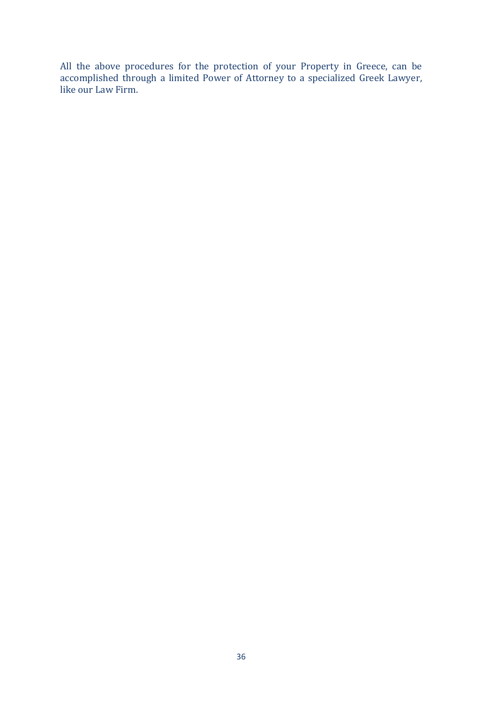All the above procedures for the protection of your Property in Greece, can be accomplished through a limited Power of Attorney to a specialized Greek Lawyer, like our Law Firm.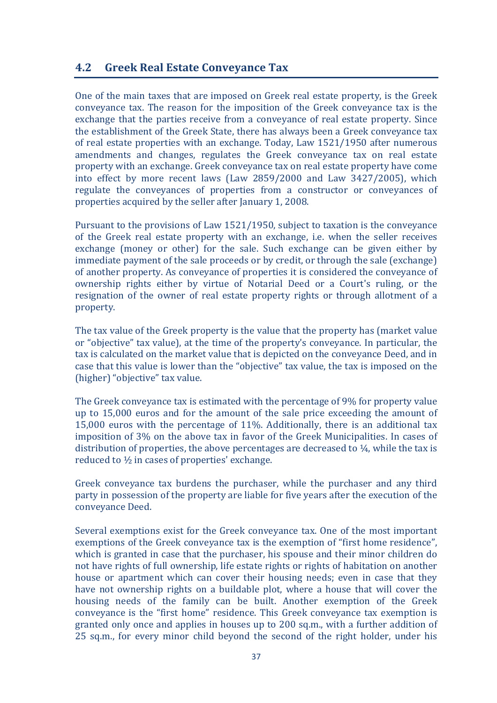### **4.2 Greek Real Estate Conveyance Tax**

One of the main taxes that are imposed on Greek real estate property, is the Greek conveyance tax. The reason for the imposition of the Greek conveyance tax is the exchange that the parties receive from a conveyance of real estate property. Since the establishment of the Greek State, there has always been a Greek conveyance tax of real estate properties with an exchange. Today, Law 1521/1950 after numerous amendments and changes, regulates the Greek conveyance tax on real estate property with an exchange. Greek conveyance tax on real estate property have come into effect by more recent laws  $(Law 2859/2000$  and  $Law 3427/2005$ ), which regulate the conveyances of properties from a constructor or conveyances of properties acquired by the seller after January 1, 2008.

Pursuant to the provisions of Law  $1521/1950$ , subject to taxation is the conveyance of the Greek real estate property with an exchange, i.e. when the seller receives exchange (money or other) for the sale. Such exchange can be given either by immediate payment of the sale proceeds or by credit, or through the sale (exchange) of another property. As conveyance of properties it is considered the conveyance of ownership rights either by virtue of Notarial Deed or a Court's ruling, or the resignation of the owner of real estate property rights or through allotment of a property.

The tax value of the Greek property is the value that the property has (market value or "objective" tax value), at the time of the property's conveyance. In particular, the tax is calculated on the market value that is depicted on the conveyance Deed, and in case that this value is lower than the "objective" tax value, the tax is imposed on the (higher) "objective" tax value.

The Greek conveyance tax is estimated with the percentage of 9% for property value up to 15,000 euros and for the amount of the sale price exceeding the amount of 15,000 euros with the percentage of  $11\%$ . Additionally, there is an additional tax imposition of 3% on the above tax in favor of the Greek Municipalities. In cases of distribution of properties, the above percentages are decreased to  $\frac{1}{4}$ , while the tax is reduced to  $\frac{1}{2}$  in cases of properties' exchange.

Greek conveyance tax burdens the purchaser, while the purchaser and any third party in possession of the property are liable for five years after the execution of the conveyance Deed.

Several exemptions exist for the Greek conveyance tax. One of the most important exemptions of the Greek conveyance tax is the exemption of "first home residence", which is granted in case that the purchaser, his spouse and their minor children do not have rights of full ownership, life estate rights or rights of habitation on another house or apartment which can cover their housing needs; even in case that they have not ownership rights on a buildable plot, where a house that will cover the housing needs of the family can be built. Another exemption of the Greek conveyance is the "first home" residence. This Greek conveyance tax exemption is granted only once and applies in houses up to 200 sq.m., with a further addition of 25 sq.m., for every minor child beyond the second of the right holder, under his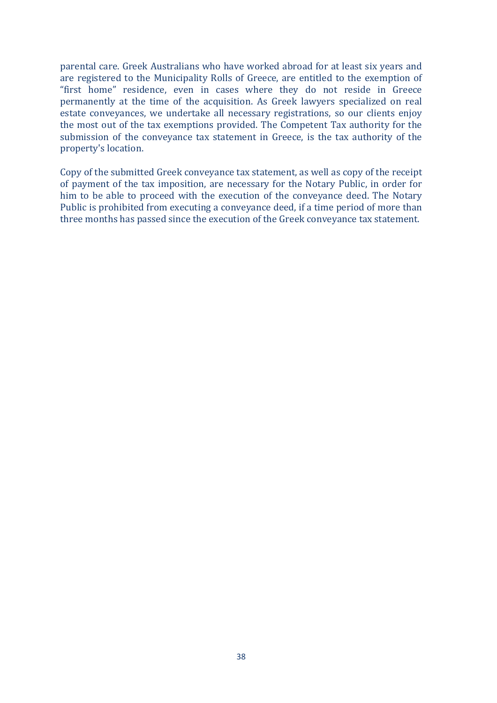parental care. Greek Australians who have worked abroad for at least six years and are registered to the Municipality Rolls of Greece, are entitled to the exemption of "first home" residence, even in cases where they do not reside in Greece permanently at the time of the acquisition. As Greek lawyers specialized on real estate conveyances, we undertake all necessary registrations, so our clients enjoy the most out of the tax exemptions provided. The Competent Tax authority for the submission of the conveyance tax statement in Greece, is the tax authority of the property's location.

Copy of the submitted Greek conveyance tax statement, as well as copy of the receipt of payment of the tax imposition, are necessary for the Notary Public, in order for him to be able to proceed with the execution of the conveyance deed. The Notary Public is prohibited from executing a conveyance deed, if a time period of more than three months has passed since the execution of the Greek conveyance tax statement.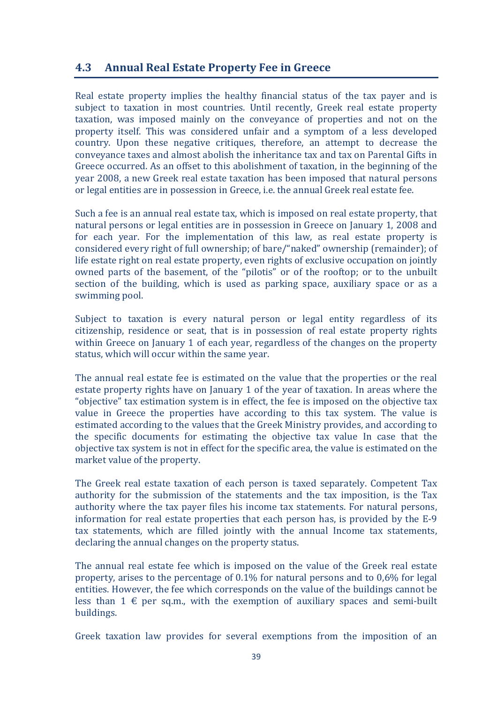## **4.3** Annual Real Estate Property Fee in Greece

Real estate property implies the healthy financial status of the tax payer and is subject to taxation in most countries. Until recently, Greek real estate property taxation, was imposed mainly on the conveyance of properties and not on the property itself. This was considered unfair and a symptom of a less developed country. Upon these negative critiques, therefore, an attempt to decrease the conveyance taxes and almost abolish the inheritance tax and tax on Parental Gifts in Greece occurred. As an offset to this abolishment of taxation, in the beginning of the year 2008, a new Greek real estate taxation has been imposed that natural persons or legal entities are in possession in Greece, i.e. the annual Greek real estate fee.

Such a fee is an annual real estate tax, which is imposed on real estate property, that natural persons or legal entities are in possession in Greece on January 1, 2008 and for each year. For the implementation of this law, as real estate property is considered every right of full ownership; of bare/"naked" ownership (remainder); of life estate right on real estate property, even rights of exclusive occupation on jointly owned parts of the basement, of the "pilotis" or of the rooftop; or to the unbuilt section of the building, which is used as parking space, auxiliary space or as a swimming pool.

Subject to taxation is every natural person or legal entity regardless of its citizenship, residence or seat, that is in possession of real estate property rights within Greece on January 1 of each year, regardless of the changes on the property status, which will occur within the same year.

The annual real estate fee is estimated on the value that the properties or the real estate property rights have on January 1 of the year of taxation. In areas where the "objective" tax estimation system is in effect, the fee is imposed on the objective tax value in Greece the properties have according to this tax system. The value is estimated according to the values that the Greek Ministry provides, and according to the specific documents for estimating the objective tax value In case that the objective tax system is not in effect for the specific area, the value is estimated on the market value of the property.

The Greek real estate taxation of each person is taxed separately. Competent Tax authority for the submission of the statements and the tax imposition, is the Tax authority where the tax payer files his income tax statements. For natural persons, information for real estate properties that each person has, is provided by the E-9 tax statements, which are filled jointly with the annual Income tax statements, declaring the annual changes on the property status.

The annual real estate fee which is imposed on the value of the Greek real estate property, arises to the percentage of  $0.1\%$  for natural persons and to  $0.6\%$  for legal entities. However, the fee which corresponds on the value of the buildings cannot be less than  $1 \notin$  per sq.m., with the exemption of auxiliary spaces and semi-built buildings.

Greek taxation law provides for several exemptions from the imposition of an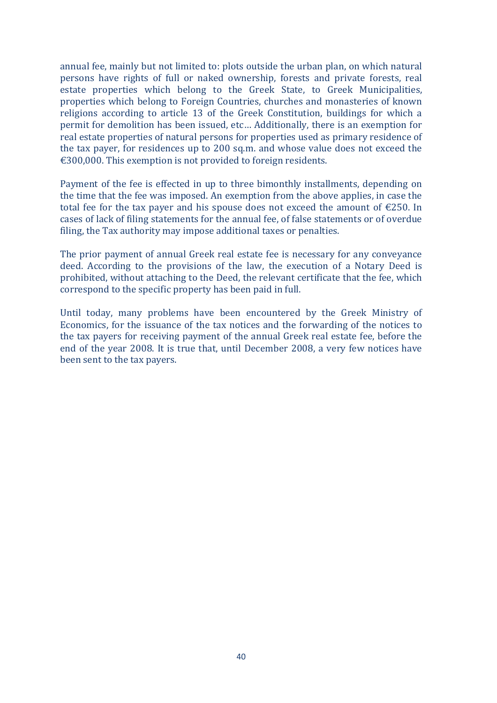annual fee, mainly but not limited to: plots outside the urban plan, on which natural persons have rights of full or naked ownership, forests and private forests, real estate properties which belong to the Greek State, to Greek Municipalities, properties which belong to Foreign Countries, churches and monasteries of known religions according to article 13 of the Greek Constitution, buildings for which a permit for demolition has been issued, etc... Additionally, there is an exemption for real estate properties of natural persons for properties used as primary residence of the tax payer, for residences up to 200 sq.m. and whose value does not exceed the  $\epsilon$ 300,000. This exemption is not provided to foreign residents.

Payment of the fee is effected in up to three bimonthly installments, depending on the time that the fee was imposed. An exemption from the above applies, in case the total fee for the tax payer and his spouse does not exceed the amount of  $E$ 250. In cases of lack of filing statements for the annual fee, of false statements or of overdue filing, the Tax authority may impose additional taxes or penalties.

The prior payment of annual Greek real estate fee is necessary for any conveyance deed. According to the provisions of the law, the execution of a Notary Deed is prohibited, without attaching to the Deed, the relevant certificate that the fee, which correspond to the specific property has been paid in full.

Until today, many problems have been encountered by the Greek Ministry of Economics, for the issuance of the tax notices and the forwarding of the notices to the tax payers for receiving payment of the annual Greek real estate fee, before the end of the year 2008. It is true that, until December 2008, a very few notices have been sent to the tax payers.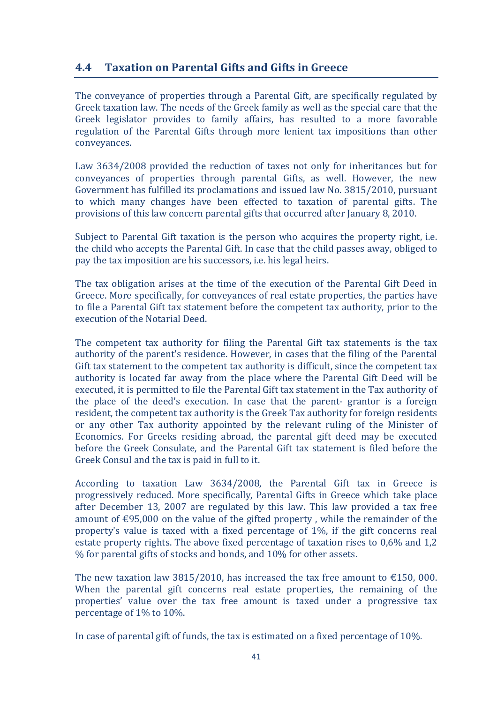## **4.4 Taxation on Parental Gifts and Gifts in Greece**

The conveyance of properties through a Parental Gift, are specifically regulated by Greek taxation law. The needs of the Greek family as well as the special care that the Greek legislator provides to family affairs, has resulted to a more favorable regulation of the Parental Gifts through more lenient tax impositions than other conveyances.

Law 3634/2008 provided the reduction of taxes not only for inheritances but for conveyances of properties through parental Gifts, as well. However, the new Government has fulfilled its proclamations and issued law No. 3815/2010, pursuant to which many changes have been effected to taxation of parental gifts. The provisions of this law concern parental gifts that occurred after January 8, 2010.

Subject to Parental Gift taxation is the person who acquires the property right, i.e. the child who accepts the Parental Gift. In case that the child passes away, obliged to pay the tax imposition are his successors, i.e. his legal heirs.

The tax obligation arises at the time of the execution of the Parental Gift Deed in Greece. More specifically, for conveyances of real estate properties, the parties have to file a Parental Gift tax statement before the competent tax authority, prior to the execution of the Notarial Deed.

The competent tax authority for filing the Parental Gift tax statements is the tax authority of the parent's residence. However, in cases that the filing of the Parental Gift tax statement to the competent tax authority is difficult, since the competent tax authority is located far away from the place where the Parental Gift Deed will be executed, it is permitted to file the Parental Gift tax statement in the Tax authority of the place of the deed's execution. In case that the parent- grantor is a foreign resident, the competent tax authority is the Greek Tax authority for foreign residents or any other Tax authority appointed by the relevant ruling of the Minister of Economics. For Greeks residing abroad, the parental gift deed may be executed before the Greek Consulate, and the Parental Gift tax statement is filed before the Greek Consul and the tax is paid in full to it.

According to taxation Law 3634/2008, the Parental Gift tax in Greece is progressively reduced. More specifically, Parental Gifts in Greece which take place after December 13, 2007 are regulated by this law. This law provided a tax free amount of  $\epsilon$ 95,000 on the value of the gifted property, while the remainder of the property's value is taxed with a fixed percentage of  $1\%$ , if the gift concerns real estate property rights. The above fixed percentage of taxation rises to  $0.6\%$  and 1,2  $%$  for parental gifts of stocks and bonds, and 10% for other assets.

The new taxation law 3815/2010, has increased the tax free amount to  $\epsilon$ 150, 000. When the parental gift concerns real estate properties, the remaining of the properties' value over the tax free amount is taxed under a progressive tax percentage of  $1\%$  to  $10\%$ .

In case of parental gift of funds, the tax is estimated on a fixed percentage of  $10\%$ .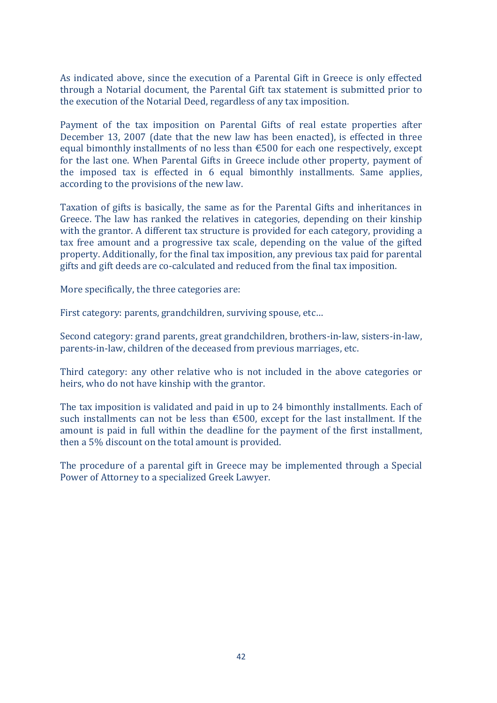As indicated above, since the execution of a Parental Gift in Greece is only effected through a Notarial document, the Parental Gift tax statement is submitted prior to the execution of the Notarial Deed, regardless of any tax imposition.

Payment of the tax imposition on Parental Gifts of real estate properties after December 13, 2007 (date that the new law has been enacted), is effected in three equal bimonthly installments of no less than  $\epsilon$ 500 for each one respectively, except for the last one. When Parental Gifts in Greece include other property, payment of the imposed tax is effected in  $6$  equal bimonthly installments. Same applies, according to the provisions of the new law.

Taxation of gifts is basically, the same as for the Parental Gifts and inheritances in Greece. The law has ranked the relatives in categories, depending on their kinship with the grantor. A different tax structure is provided for each category, providing a tax free amount and a progressive tax scale, depending on the value of the gifted property. Additionally, for the final tax imposition, any previous tax paid for parental gifts and gift deeds are co-calculated and reduced from the final tax imposition.

More specifically, the three categories are:

First category: parents, grandchildren, surviving spouse, etc...

Second category: grand parents, great grandchildren, brothers-in-law, sisters-in-law, parents-in-law, children of the deceased from previous marriages, etc.

Third category: any other relative who is not included in the above categories or heirs, who do not have kinship with the grantor.

The tax imposition is validated and paid in up to 24 bimonthly installments. Each of such installments can not be less than  $\epsilon$ 500, except for the last installment. If the amount is paid in full within the deadline for the payment of the first installment, then a 5% discount on the total amount is provided.

The procedure of a parental gift in Greece may be implemented through a Special Power of Attorney to a specialized Greek Lawyer.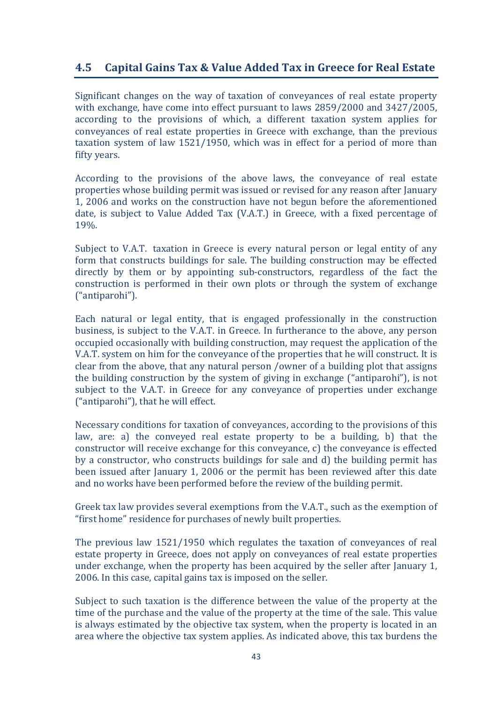## **4.5** Capital Gains Tax & Value Added Tax in Greece for Real Estate

Significant changes on the way of taxation of conveyances of real estate property with exchange, have come into effect pursuant to laws 2859/2000 and 3427/2005, according to the provisions of which, a different taxation system applies for conveyances of real estate properties in Greece with exchange, than the previous taxation system of law  $1521/1950$ , which was in effect for a period of more than fifty years.

According to the provisions of the above laws, the conveyance of real estate properties whose building permit was issued or revised for any reason after January 1, 2006 and works on the construction have not begun before the aforementioned date, is subject to Value Added Tax (V.A.T.) in Greece, with a fixed percentage of 19%.

Subject to V.A.T. taxation in Greece is every natural person or legal entity of any form that constructs buildings for sale. The building construction may be effected directly by them or by appointing sub-constructors, regardless of the fact the construction is performed in their own plots or through the system of exchange ("antiparohi").

Each natural or legal entity, that is engaged professionally in the construction business, is subject to the V.A.T. in Greece. In furtherance to the above, any person occupied occasionally with building construction, may request the application of the V.A.T. system on him for the conveyance of the properties that he will construct. It is clear from the above, that any natural person /owner of a building plot that assigns the building construction by the system of giving in exchange ("antiparohi"), is not subject to the V.A.T. in Greece for any conveyance of properties under exchange ("antiparohi"), that he will effect.

Necessary conditions for taxation of conveyances, according to the provisions of this law, are: a) the conveyed real estate property to be a building, b) that the constructor will receive exchange for this conveyance, c) the conveyance is effected by a constructor, who constructs buildings for sale and d) the building permit has been issued after January 1, 2006 or the permit has been reviewed after this date and no works have been performed before the review of the building permit.

Greek tax law provides several exemptions from the V.A.T., such as the exemption of "first home" residence for purchases of newly built properties.

The previous law  $1521/1950$  which regulates the taxation of conveyances of real estate property in Greece, does not apply on conveyances of real estate properties under exchange, when the property has been acquired by the seller after January 1, 2006. In this case, capital gains tax is imposed on the seller.

Subject to such taxation is the difference between the value of the property at the time of the purchase and the value of the property at the time of the sale. This value is always estimated by the objective tax system, when the property is located in an area where the objective tax system applies. As indicated above, this tax burdens the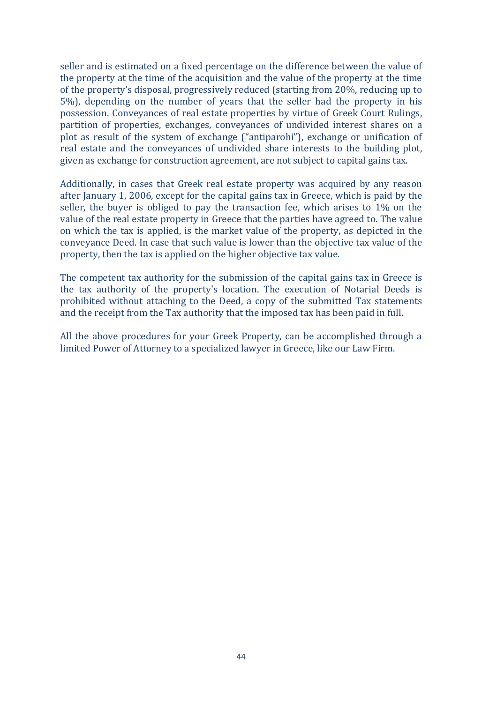seller and is estimated on a fixed percentage on the difference between the value of the property at the time of the acquisition and the value of the property at the time of the property's disposal, progressively reduced (starting from 20%, reducing up to 5%), depending on the number of years that the seller had the property in his possession. Conveyances of real estate properties by virtue of Greek Court Rulings, partition of properties, exchanges, conveyances of undivided interest shares on a plot as result of the system of exchange ("antiparohi"), exchange or unification of real estate and the conveyances of undivided share interests to the building plot, given as exchange for construction agreement, are not subject to capital gains tax.

Additionally, in cases that Greek real estate property was acquired by any reason after January 1, 2006, except for the capital gains tax in Greece, which is paid by the seller, the buyer is obliged to pay the transaction fee, which arises to  $1\%$  on the value of the real estate property in Greece that the parties have agreed to. The value on which the tax is applied, is the market value of the property, as depicted in the conveyance Deed. In case that such value is lower than the objective tax value of the property, then the tax is applied on the higher objective tax value.

The competent tax authority for the submission of the capital gains tax in Greece is the tax authority of the property's location. The execution of Notarial Deeds is prohibited without attaching to the Deed, a copy of the submitted Tax statements and the receipt from the Tax authority that the imposed tax has been paid in full.

All the above procedures for your Greek Property, can be accomplished through a limited Power of Attorney to a specialized lawyer in Greece, like our Law Firm.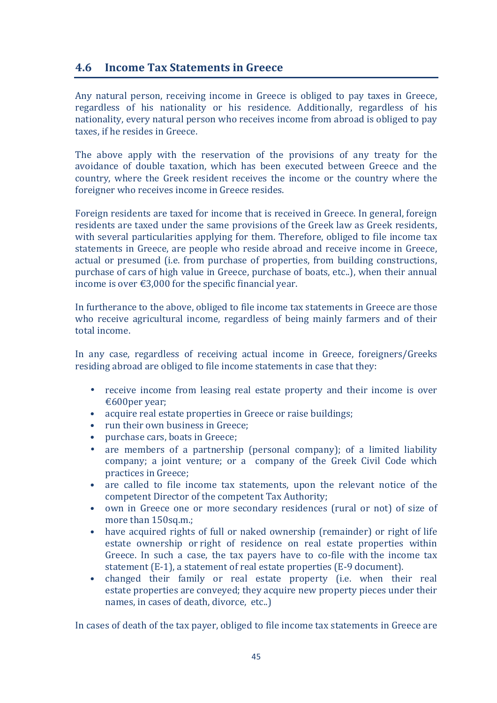### **4.6 Income Tax Statements in Greece**

Any natural person, receiving income in Greece is obliged to pay taxes in Greece, regardless of his nationality or his residence. Additionally, regardless of his nationality, every natural person who receives income from abroad is obliged to pay taxes, if he resides in Greece.

The above apply with the reservation of the provisions of any treaty for the avoidance of double taxation, which has been executed between Greece and the country, where the Greek resident receives the income or the country where the foreigner who receives income in Greece resides.

Foreign residents are taxed for income that is received in Greece. In general, foreign residents are taxed under the same provisions of the Greek law as Greek residents, with several particularities applying for them. Therefore, obliged to file income tax statements in Greece, are people who reside abroad and receive income in Greece, actual or presumed (i.e. from purchase of properties, from building constructions, purchase of cars of high value in Greece, purchase of boats, etc..), when their annual income is over  $\epsilon$ 3,000 for the specific financial year.

In furtherance to the above, obliged to file income tax statements in Greece are those who receive agricultural income, regardless of being mainly farmers and of their total income.

In any case, regardless of receiving actual income in Greece, foreigners/Greeks residing abroad are obliged to file income statements in case that they:

- receive income from leasing real estate property and their income is over €600per vear:
- acquire real estate properties in Greece or raise buildings;
- run their own business in Greece:
- purchase cars, boats in Greece:
- are members of a partnership (personal company); of a limited liability company; a joint venture; or a company of the Greek Civil Code which practices in Greece:
- are called to file income tax statements, upon the relevant notice of the competent Director of the competent Tax Authority;
- own in Greece one or more secondary residences (rural or not) of size of more than 150sq.m.:
- have acquired rights of full or naked ownership (remainder) or right of life estate ownership or right of residence on real estate properties within Greece. In such a case, the tax payers have to co-file with the income tax statement (E-1), a statement of real estate properties (E-9 document).
- changed their family or real estate property (i.e. when their real estate properties are conveyed; they acquire new property pieces under their names, in cases of death, divorce, etc..)

In cases of death of the tax payer, obliged to file income tax statements in Greece are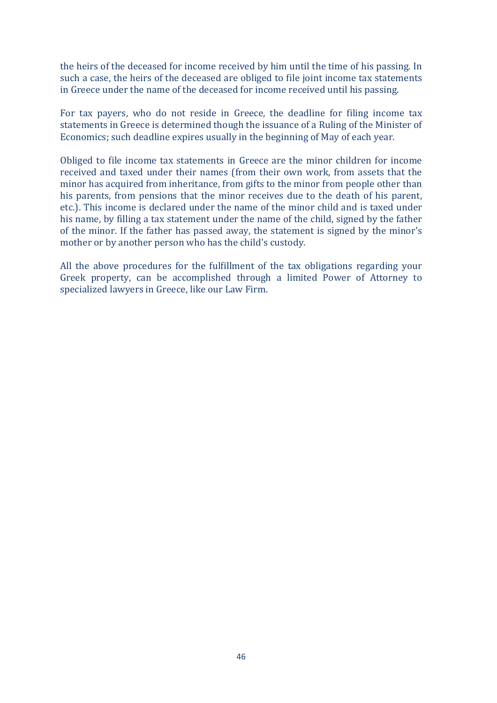the heirs of the deceased for income received by him until the time of his passing. In such a case, the heirs of the deceased are obliged to file joint income tax statements in Greece under the name of the deceased for income received until his passing.

For tax payers, who do not reside in Greece, the deadline for filing income tax statements in Greece is determined though the issuance of a Ruling of the Minister of Economics; such deadline expires usually in the beginning of May of each year.

Obliged to file income tax statements in Greece are the minor children for income received and taxed under their names (from their own work, from assets that the minor has acquired from inheritance, from gifts to the minor from people other than his parents, from pensions that the minor receives due to the death of his parent, etc.). This income is declared under the name of the minor child and is taxed under his name, by filling a tax statement under the name of the child, signed by the father of the minor. If the father has passed away, the statement is signed by the minor's mother or by another person who has the child's custody.

All the above procedures for the fulfillment of the tax obligations regarding your Greek property, can be accomplished through a limited Power of Attorney to specialized lawyers in Greece, like our Law Firm.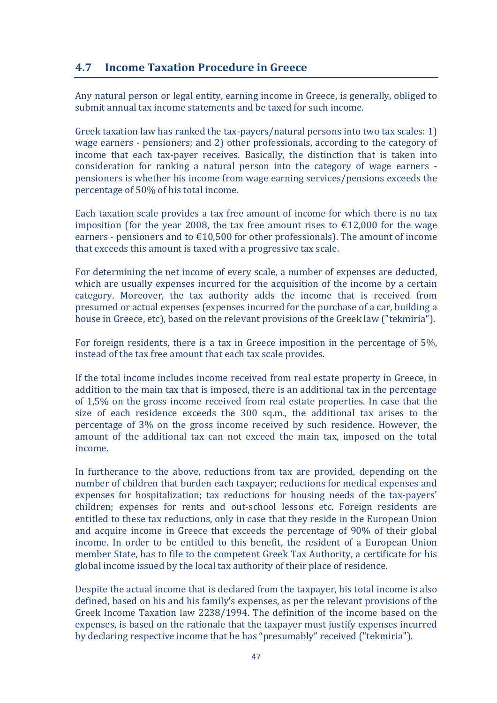## **4.7 Income Taxation Procedure in Greece**

Any natural person or legal entity, earning income in Greece, is generally, obliged to submit annual tax income statements and be taxed for such income.

Greek taxation law has ranked the tax-payers/natural persons into two tax scales: 1) wage earners - pensioners; and 2) other professionals, according to the category of income that each tax-payer receives. Basically, the distinction that is taken into consideration for ranking a natural person into the category of wage earners pensioners is whether his income from wage earning services/pensions exceeds the percentage of 50% of his total income.

Each taxation scale provides a tax free amount of income for which there is no tax imposition (for the year 2008, the tax free amount rises to  $\epsilon$ 12,000 for the wage earners - pensioners and to  $\epsilon$ 10,500 for other professionals). The amount of income that exceeds this amount is taxed with a progressive tax scale.

For determining the net income of every scale, a number of expenses are deducted, which are usually expenses incurred for the acquisition of the income by a certain category. Moreover, the tax authority adds the income that is received from presumed or actual expenses (expenses incurred for the purchase of a car, building a house in Greece, etc), based on the relevant provisions of the Greek law ("tekmiria").

For foreign residents, there is a tax in Greece imposition in the percentage of  $5\%$ , instead of the tax free amount that each tax scale provides.

If the total income includes income received from real estate property in Greece, in addition to the main tax that is imposed, there is an additional tax in the percentage of 1,5% on the gross income received from real estate properties. In case that the size of each residence exceeds the 300 sq.m., the additional tax arises to the percentage of 3% on the gross income received by such residence. However, the amount of the additional tax can not exceed the main tax, imposed on the total income.

In furtherance to the above, reductions from tax are provided, depending on the number of children that burden each taxpayer; reductions for medical expenses and expenses for hospitalization; tax reductions for housing needs of the tax-payers' children; expenses for rents and out-school lessons etc. Foreign residents are entitled to these tax reductions, only in case that they reside in the European Union and acquire income in Greece that exceeds the percentage of 90% of their global income. In order to be entitled to this benefit, the resident of a European Union member State, has to file to the competent Greek Tax Authority, a certificate for his global income issued by the local tax authority of their place of residence.

Despite the actual income that is declared from the taxpayer, his total income is also defined, based on his and his family's expenses, as per the relevant provisions of the Greek Income Taxation law 2238/1994. The definition of the income based on the expenses, is based on the rationale that the taxpayer must justify expenses incurred by declaring respective income that he has "presumably" received ("tekmiria").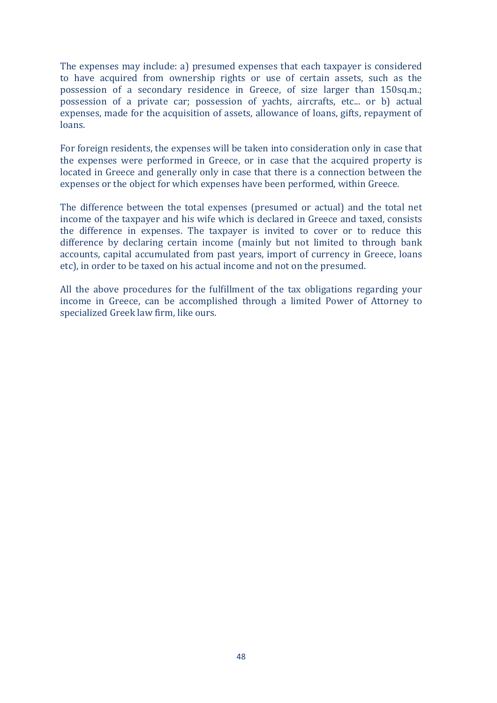The expenses may include: a) presumed expenses that each taxpayer is considered to have acquired from ownership rights or use of certain assets, such as the possession of a secondary residence in Greece, of size larger than 150sq.m.; possession of a private car; possession of yachts, aircrafts, etc... or b) actual expenses, made for the acquisition of assets, allowance of loans, gifts, repayment of loans.

For foreign residents, the expenses will be taken into consideration only in case that the expenses were performed in Greece, or in case that the acquired property is located in Greece and generally only in case that there is a connection between the expenses or the object for which expenses have been performed, within Greece.

The difference between the total expenses (presumed or actual) and the total net income of the taxpayer and his wife which is declared in Greece and taxed, consists the difference in expenses. The taxpayer is invited to cover or to reduce this difference by declaring certain income (mainly but not limited to through bank accounts, capital accumulated from past years, import of currency in Greece, loans etc), in order to be taxed on his actual income and not on the presumed.

All the above procedures for the fulfillment of the tax obligations regarding your income in Greece, can be accomplished through a limited Power of Attorney to specialized Greek law firm, like ours.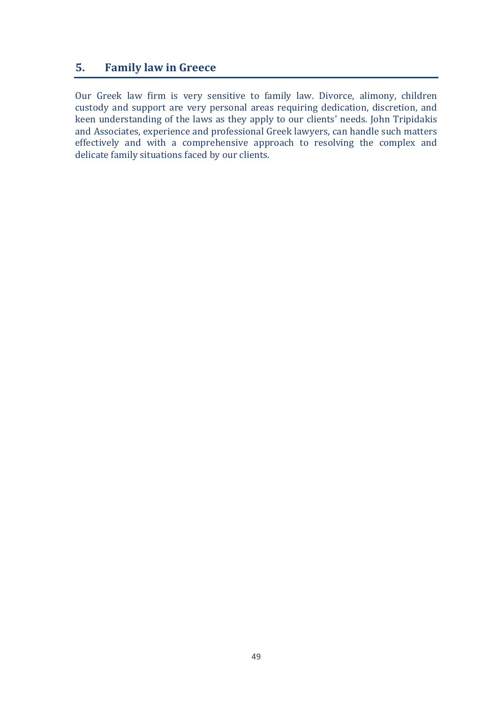## **5. Family law in Greece**

Our Greek law firm is very sensitive to family law. Divorce, alimony, children custody and support are very personal areas requiring dedication, discretion, and keen understanding of the laws as they apply to our clients' needs. John Tripidakis and Associates, experience and professional Greek lawyers, can handle such matters effectively and with a comprehensive approach to resolving the complex and delicate family situations faced by our clients.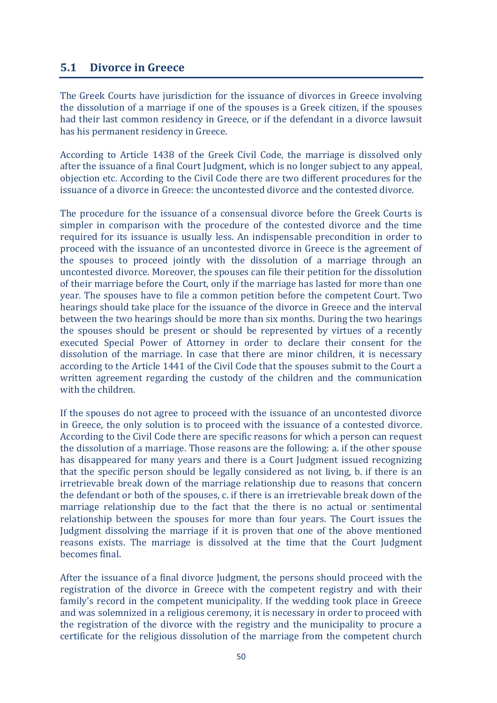#### **5.1 Divorce in Greece**

The Greek Courts have jurisdiction for the issuance of divorces in Greece involving the dissolution of a marriage if one of the spouses is a Greek citizen, if the spouses had their last common residency in Greece, or if the defendant in a divorce lawsuit has his permanent residency in Greece.

According to Article 1438 of the Greek Civil Code, the marriage is dissolved only after the issuance of a final Court Judgment, which is no longer subject to any appeal, objection etc. According to the Civil Code there are two different procedures for the issuance of a divorce in Greece: the uncontested divorce and the contested divorce.

The procedure for the issuance of a consensual divorce before the Greek Courts is simpler in comparison with the procedure of the contested divorce and the time required for its issuance is usually less. An indispensable precondition in order to proceed with the issuance of an uncontested divorce in Greece is the agreement of the spouses to proceed jointly with the dissolution of a marriage through an uncontested divorce. Moreover, the spouses can file their petition for the dissolution of their marriage before the Court, only if the marriage has lasted for more than one year. The spouses have to file a common petition before the competent Court. Two hearings should take place for the issuance of the divorce in Greece and the interval between the two hearings should be more than six months. During the two hearings the spouses should be present or should be represented by virtues of a recently executed Special Power of Attorney in order to declare their consent for the dissolution of the marriage. In case that there are minor children, it is necessary according to the Article 1441 of the Civil Code that the spouses submit to the Court a written agreement regarding the custody of the children and the communication with the children.

If the spouses do not agree to proceed with the issuance of an uncontested divorce in Greece, the only solution is to proceed with the issuance of a contested divorce. According to the Civil Code there are specific reasons for which a person can request the dissolution of a marriage. Those reasons are the following: a. if the other spouse has disappeared for many years and there is a Court Judgment issued recognizing that the specific person should be legally considered as not living, b. if there is an irretrievable break down of the marriage relationship due to reasons that concern the defendant or both of the spouses, c. if there is an irretrievable break down of the marriage relationship due to the fact that the there is no actual or sentimental relationship between the spouses for more than four years. The Court issues the Judgment dissolving the marriage if it is proven that one of the above mentioned reasons exists. The marriage is dissolved at the time that the Court Judgment becomes final.

After the issuance of a final divorce Judgment, the persons should proceed with the registration of the divorce in Greece with the competent registry and with their family's record in the competent municipality. If the wedding took place in Greece and was solemnized in a religious ceremony, it is necessary in order to proceed with the registration of the divorce with the registry and the municipality to procure a certificate for the religious dissolution of the marriage from the competent church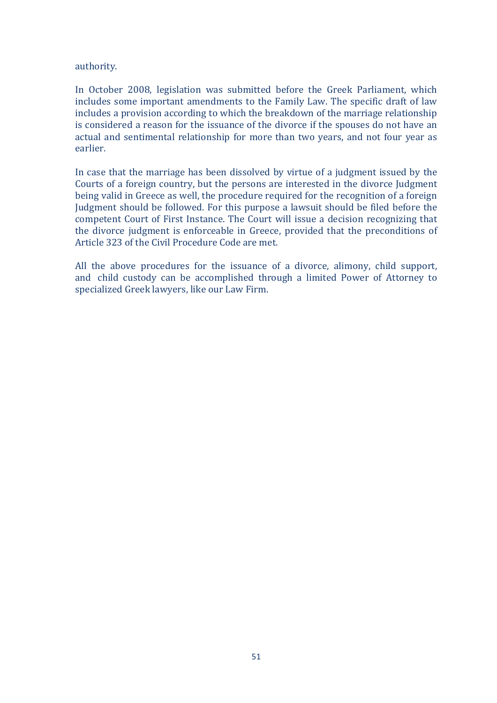authority.

In October 2008, legislation was submitted before the Greek Parliament, which includes some important amendments to the Family Law. The specific draft of law includes a provision according to which the breakdown of the marriage relationship is considered a reason for the issuance of the divorce if the spouses do not have an actual and sentimental relationship for more than two years, and not four year as earlier. 

In case that the marriage has been dissolved by virtue of a judgment issued by the Courts of a foreign country, but the persons are interested in the divorce Judgment being valid in Greece as well, the procedure required for the recognition of a foreign Judgment should be followed. For this purpose a lawsuit should be filed before the competent Court of First Instance. The Court will issue a decision recognizing that the divorce judgment is enforceable in Greece, provided that the preconditions of Article 323 of the Civil Procedure Code are met.

All the above procedures for the issuance of a divorce, alimony, child support, and child custody can be accomplished through a limited Power of Attorney to specialized Greek lawyers, like our Law Firm.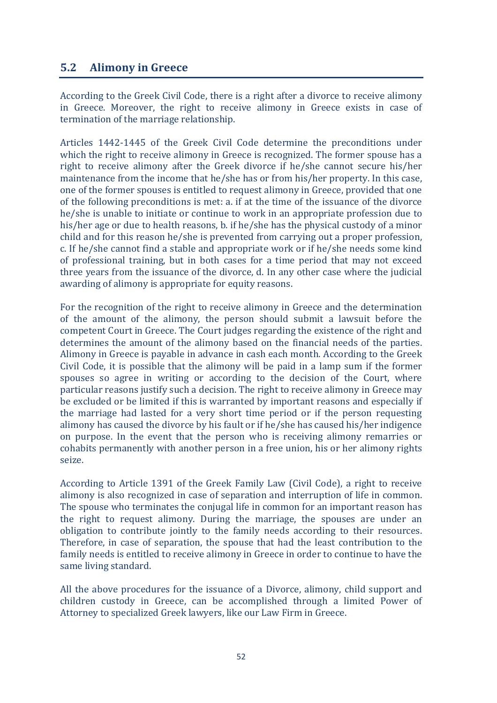## **5.2 Alimony** in Greece

According to the Greek Civil Code, there is a right after a divorce to receive alimony in Greece. Moreover, the right to receive alimony in Greece exists in case of termination of the marriage relationship.

Articles 1442-1445 of the Greek Civil Code determine the preconditions under which the right to receive alimony in Greece is recognized. The former spouse has a right to receive alimony after the Greek divorce if he/she cannot secure his/her maintenance from the income that  $he/she$  has or from his/her property. In this case, one of the former spouses is entitled to request alimony in Greece, provided that one of the following preconditions is met: a. if at the time of the issuance of the divorce he/she is unable to initiate or continue to work in an appropriate profession due to his/her age or due to health reasons, b. if he/she has the physical custody of a minor child and for this reason he/she is prevented from carrying out a proper profession, c. If he/she cannot find a stable and appropriate work or if he/she needs some kind of professional training, but in both cases for a time period that may not exceed three years from the issuance of the divorce, d. In any other case where the judicial awarding of alimony is appropriate for equity reasons.

For the recognition of the right to receive alimony in Greece and the determination of the amount of the alimony, the person should submit a lawsuit before the competent Court in Greece. The Court judges regarding the existence of the right and determines the amount of the alimony based on the financial needs of the parties. Alimony in Greece is payable in advance in cash each month. According to the Greek Civil Code, it is possible that the alimony will be paid in a lamp sum if the former spouses so agree in writing or according to the decision of the Court, where particular reasons justify such a decision. The right to receive alimony in Greece may be excluded or be limited if this is warranted by important reasons and especially if the marriage had lasted for a very short time period or if the person requesting alimony has caused the divorce by his fault or if he/she has caused his/her indigence on purpose. In the event that the person who is receiving alimony remarries or cohabits permanently with another person in a free union, his or her alimony rights seize.

According to Article 1391 of the Greek Family Law (Civil Code), a right to receive alimony is also recognized in case of separation and interruption of life in common. The spouse who terminates the conjugal life in common for an important reason has the right to request alimony. During the marriage, the spouses are under an obligation to contribute jointly to the family needs according to their resources. Therefore, in case of separation, the spouse that had the least contribution to the family needs is entitled to receive alimony in Greece in order to continue to have the same living standard.

All the above procedures for the issuance of a Divorce, alimony, child support and children custody in Greece, can be accomplished through a limited Power of Attorney to specialized Greek lawyers, like our Law Firm in Greece.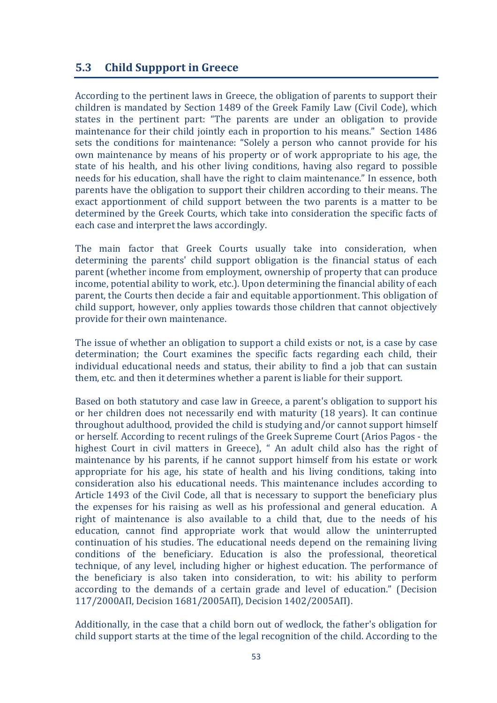#### **5.3 Child Suppport in Greece**

According to the pertinent laws in Greece, the obligation of parents to support their children is mandated by Section 1489 of the Greek Family Law (Civil Code), which states in the pertinent part: "The parents are under an obligation to provide maintenance for their child jointly each in proportion to his means." Section 1486 sets the conditions for maintenance: "Solely a person who cannot provide for his own maintenance by means of his property or of work appropriate to his age, the state of his health, and his other living conditions, having also regard to possible needs for his education, shall have the right to claim maintenance." In essence, both parents have the obligation to support their children according to their means. The exact apportionment of child support between the two parents is a matter to be determined by the Greek Courts, which take into consideration the specific facts of each case and interpret the laws accordingly.

The main factor that Greek Courts usually take into consideration, when determining the parents' child support obligation is the financial status of each parent (whether income from employment, ownership of property that can produce income, potential ability to work, etc.). Upon determining the financial ability of each parent, the Courts then decide a fair and equitable apportionment. This obligation of child support, however, only applies towards those children that cannot objectively provide for their own maintenance.

The issue of whether an obligation to support a child exists or not, is a case by case determination; the Court examines the specific facts regarding each child, their individual educational needs and status, their ability to find a job that can sustain them, etc. and then it determines whether a parent is liable for their support.

Based on both statutory and case law in Greece, a parent's obligation to support his or her children does not necessarily end with maturity (18 years). It can continue throughout adulthood, provided the child is studying and/or cannot support himself or herself. According to recent rulings of the Greek Supreme Court (Arios Pagos - the highest Court in civil matters in Greece), " An adult child also has the right of maintenance by his parents, if he cannot support himself from his estate or work appropriate for his age, his state of health and his living conditions, taking into consideration also his educational needs. This maintenance includes according to Article 1493 of the Civil Code, all that is necessary to support the beneficiary plus the expenses for his raising as well as his professional and general education. A right of maintenance is also available to a child that, due to the needs of his education, cannot find appropriate work that would allow the uninterrupted continuation of his studies. The educational needs depend on the remaining living conditions of the beneficiary. Education is also the professional, theoretical technique, of any level, including higher or highest education. The performance of the beneficiary is also taken into consideration, to wit: his ability to perform according to the demands of a certain grade and level of education." (Decision 117/2000ΑΠ, Decision 1681/2005ΑΠ), Decision 1402/2005ΑΠ).

Additionally, in the case that a child born out of wedlock, the father's obligation for child support starts at the time of the legal recognition of the child. According to the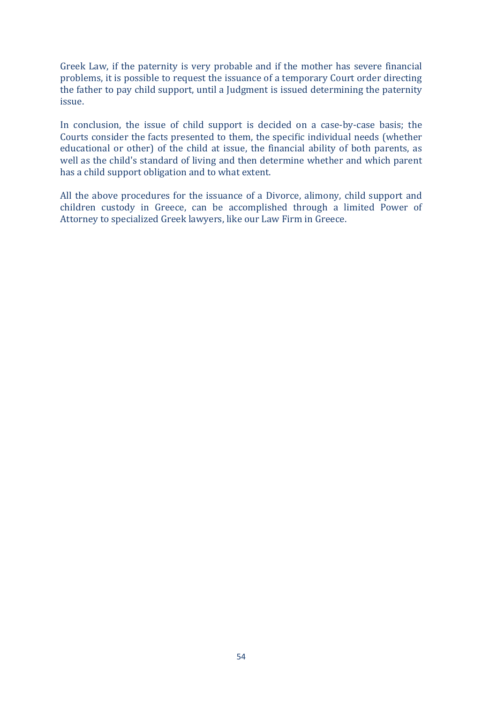Greek Law, if the paternity is very probable and if the mother has severe financial problems, it is possible to request the issuance of a temporary Court order directing the father to pay child support, until a Judgment is issued determining the paternity issue.

In conclusion, the issue of child support is decided on a case-by-case basis; the Courts consider the facts presented to them, the specific individual needs (whether educational or other) of the child at issue, the financial ability of both parents, as well as the child's standard of living and then determine whether and which parent has a child support obligation and to what extent.

All the above procedures for the issuance of a Divorce, alimony, child support and children custody in Greece, can be accomplished through a limited Power of Attorney to specialized Greek lawyers, like our Law Firm in Greece.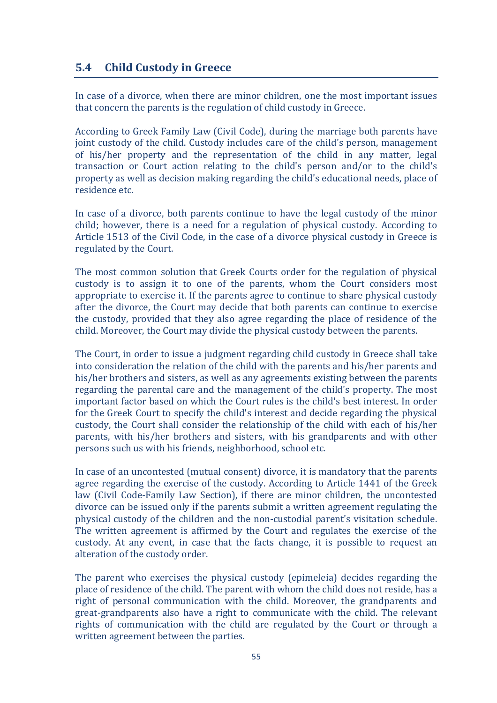## **5.4 Child Custody in Greece**

In case of a divorce, when there are minor children, one the most important issues that concern the parents is the regulation of child custody in Greece.

According to Greek Family Law (Civil Code), during the marriage both parents have joint custody of the child. Custody includes care of the child's person, management of his/her property and the representation of the child in any matter, legal transaction or Court action relating to the child's person and/or to the child's property as well as decision making regarding the child's educational needs, place of residence etc.

In case of a divorce, both parents continue to have the legal custody of the minor child; however, there is a need for a regulation of physical custody. According to Article 1513 of the Civil Code, in the case of a divorce physical custody in Greece is regulated by the Court.

The most common solution that Greek Courts order for the regulation of physical custody is to assign it to one of the parents, whom the Court considers most appropriate to exercise it. If the parents agree to continue to share physical custody after the divorce, the Court may decide that both parents can continue to exercise the custody, provided that they also agree regarding the place of residence of the child. Moreover, the Court may divide the physical custody between the parents.

The Court, in order to issue a judgment regarding child custody in Greece shall take into consideration the relation of the child with the parents and his/her parents and his/her brothers and sisters, as well as any agreements existing between the parents regarding the parental care and the management of the child's property. The most important factor based on which the Court rules is the child's best interest. In order for the Greek Court to specify the child's interest and decide regarding the physical custody, the Court shall consider the relationship of the child with each of his/her parents, with his/her brothers and sisters, with his grandparents and with other persons such us with his friends, neighborhood, school etc.

In case of an uncontested (mutual consent) divorce, it is mandatory that the parents agree regarding the exercise of the custody. According to Article 1441 of the Greek law (Civil Code-Family Law Section), if there are minor children, the uncontested divorce can be issued only if the parents submit a written agreement regulating the physical custody of the children and the non-custodial parent's visitation schedule. The written agreement is affirmed by the Court and regulates the exercise of the custody. At any event, in case that the facts change, it is possible to request an alteration of the custody order.

The parent who exercises the physical custody (epimeleia) decides regarding the place of residence of the child. The parent with whom the child does not reside, has a right of personal communication with the child. Moreover, the grandparents and great-grandparents also have a right to communicate with the child. The relevant rights of communication with the child are regulated by the Court or through a written agreement between the parties.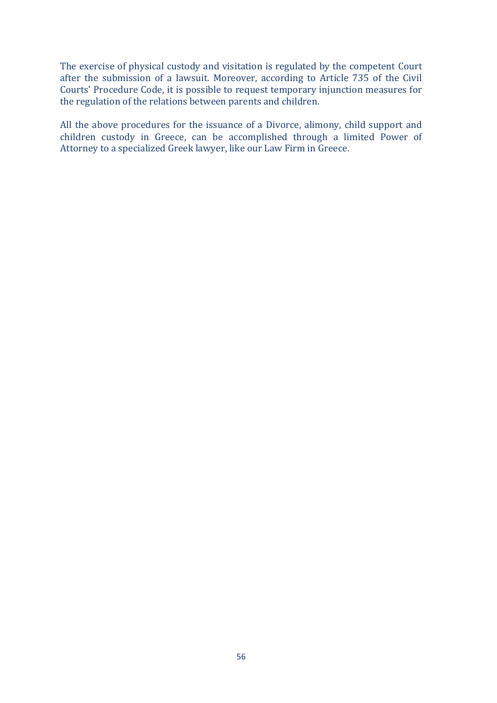The exercise of physical custody and visitation is regulated by the competent Court after the submission of a lawsuit. Moreover, according to Article 735 of the Civil Courts' Procedure Code, it is possible to request temporary injunction measures for the regulation of the relations between parents and children.

All the above procedures for the issuance of a Divorce, alimony, child support and children custody in Greece, can be accomplished through a limited Power of Attorney to a specialized Greek lawyer, like our Law Firm in Greece.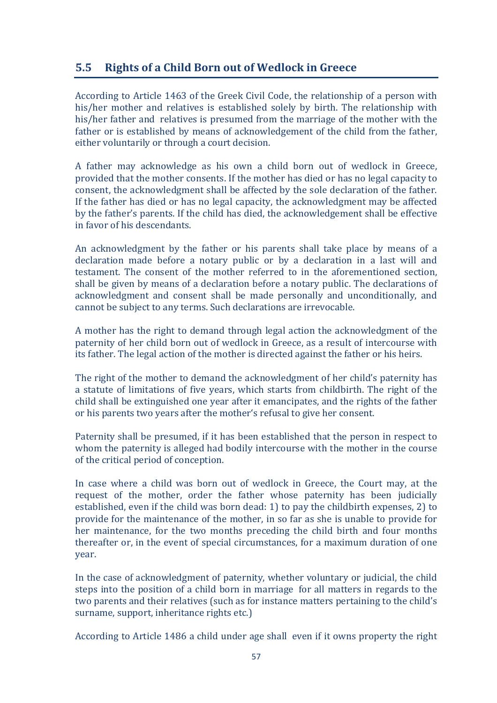## **5.5** Rights of a Child Born out of Wedlock in Greece

According to Article 1463 of the Greek Civil Code, the relationship of a person with his/her mother and relatives is established solely by birth. The relationship with his/her father and relatives is presumed from the marriage of the mother with the father or is established by means of acknowledgement of the child from the father, either voluntarily or through a court decision.

A father may acknowledge as his own a child born out of wedlock in Greece, provided that the mother consents. If the mother has died or has no legal capacity to consent, the acknowledgment shall be affected by the sole declaration of the father. If the father has died or has no legal capacity, the acknowledgment may be affected by the father's parents. If the child has died, the acknowledgement shall be effective in favor of his descendants.

An acknowledgment by the father or his parents shall take place by means of a declaration made before a notary public or by a declaration in a last will and testament. The consent of the mother referred to in the aforementioned section, shall be given by means of a declaration before a notary public. The declarations of acknowledgment and consent shall be made personally and unconditionally, and cannot be subject to any terms. Such declarations are irrevocable.

A mother has the right to demand through legal action the acknowledgment of the paternity of her child born out of wedlock in Greece, as a result of intercourse with its father. The legal action of the mother is directed against the father or his heirs.

The right of the mother to demand the acknowledgment of her child's paternity has a statute of limitations of five years, which starts from childbirth. The right of the child shall be extinguished one year after it emancipates, and the rights of the father or his parents two years after the mother's refusal to give her consent.

Paternity shall be presumed, if it has been established that the person in respect to whom the paternity is alleged had bodily intercourse with the mother in the course of the critical period of conception.

In case where a child was born out of wedlock in Greece, the Court may, at the request of the mother, order the father whose paternity has been judicially established, even if the child was born dead: 1) to pay the childbirth expenses, 2) to provide for the maintenance of the mother, in so far as she is unable to provide for her maintenance, for the two months preceding the child birth and four months thereafter or, in the event of special circumstances, for a maximum duration of one year.

In the case of acknowledgment of paternity, whether voluntary or judicial, the child steps into the position of a child born in marriage for all matters in regards to the two parents and their relatives (such as for instance matters pertaining to the child's surname, support, inheritance rights etc.)

According to Article 1486 a child under age shall even if it owns property the right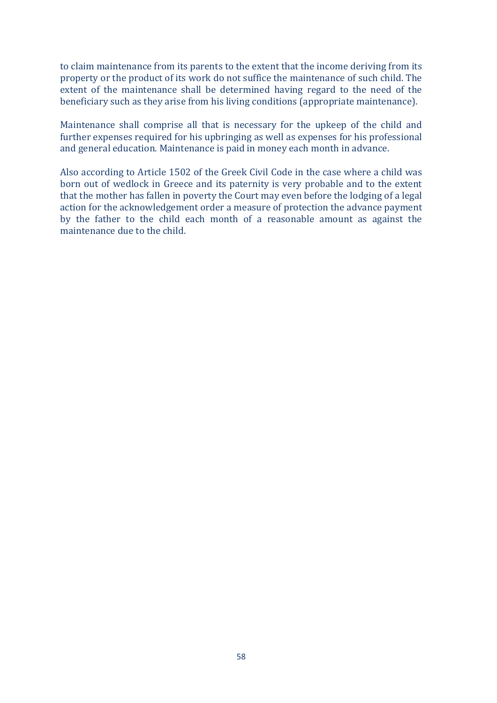to claim maintenance from its parents to the extent that the income deriving from its property or the product of its work do not suffice the maintenance of such child. The extent of the maintenance shall be determined having regard to the need of the beneficiary such as they arise from his living conditions (appropriate maintenance).

Maintenance shall comprise all that is necessary for the upkeep of the child and further expenses required for his upbringing as well as expenses for his professional and general education. Maintenance is paid in money each month in advance.

Also according to Article 1502 of the Greek Civil Code in the case where a child was born out of wedlock in Greece and its paternity is very probable and to the extent that the mother has fallen in poverty the Court may even before the lodging of a legal action for the acknowledgement order a measure of protection the advance payment by the father to the child each month of a reasonable amount as against the maintenance due to the child.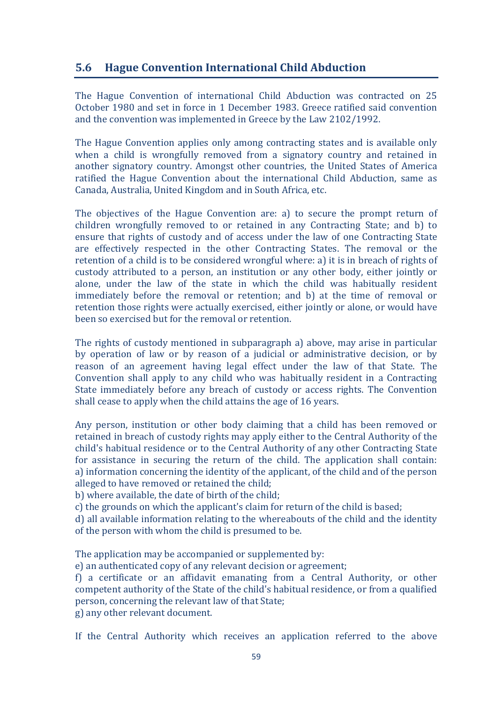## **5.6 Hague Convention International Child Abduction**

The Hague Convention of international Child Abduction was contracted on 25 October 1980 and set in force in 1 December 1983. Greece ratified said convention and the convention was implemented in Greece by the Law 2102/1992.

The Hague Convention applies only among contracting states and is available only when a child is wrongfully removed from a signatory country and retained in another signatory country. Amongst other countries, the United States of America ratified the Hague Convention about the international Child Abduction, same as Canada, Australia, United Kingdom and in South Africa, etc.

The objectives of the Hague Convention are: a) to secure the prompt return of children wrongfully removed to or retained in any Contracting State; and b) to ensure that rights of custody and of access under the law of one Contracting State are effectively respected in the other Contracting States. The removal or the retention of a child is to be considered wrongful where: a) it is in breach of rights of custody attributed to a person, an institution or any other body, either jointly or alone, under the law of the state in which the child was habitually resident immediately before the removal or retention; and b) at the time of removal or retention those rights were actually exercised, either jointly or alone, or would have been so exercised but for the removal or retention.

The rights of custody mentioned in subparagraph a) above, may arise in particular by operation of law or by reason of a judicial or administrative decision, or by reason of an agreement having legal effect under the law of that State. The Convention shall apply to any child who was habitually resident in a Contracting State immediately before any breach of custody or access rights. The Convention shall cease to apply when the child attains the age of 16 years.

Any person, institution or other body claiming that a child has been removed or retained in breach of custody rights may apply either to the Central Authority of the child's habitual residence or to the Central Authority of any other Contracting State for assistance in securing the return of the child. The application shall contain: a) information concerning the identity of the applicant, of the child and of the person alleged to have removed or retained the child;

b) where available, the date of birth of the child;

c) the grounds on which the applicant's claim for return of the child is based;

d) all available information relating to the whereabouts of the child and the identity of the person with whom the child is presumed to be.

The application may be accompanied or supplemented by:

e) an authenticated copy of any relevant decision or agreement;

f) a certificate or an affidavit emanating from a Central Authority, or other competent authority of the State of the child's habitual residence, or from a qualified person, concerning the relevant law of that State; g) any other relevant document.

If the Central Authority which receives an application referred to the above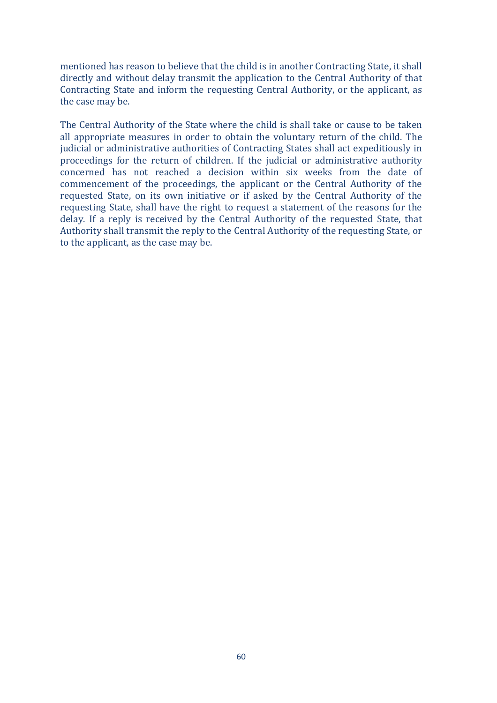mentioned has reason to believe that the child is in another Contracting State, it shall directly and without delay transmit the application to the Central Authority of that Contracting State and inform the requesting Central Authority, or the applicant, as the case may be.

The Central Authority of the State where the child is shall take or cause to be taken all appropriate measures in order to obtain the voluntary return of the child. The judicial or administrative authorities of Contracting States shall act expeditiously in proceedings for the return of children. If the judicial or administrative authority concerned has not reached a decision within six weeks from the date of commencement of the proceedings, the applicant or the Central Authority of the requested State, on its own initiative or if asked by the Central Authority of the requesting State, shall have the right to request a statement of the reasons for the delay. If a reply is received by the Central Authority of the requested State, that Authority shall transmit the reply to the Central Authority of the requesting State, or to the applicant, as the case may be.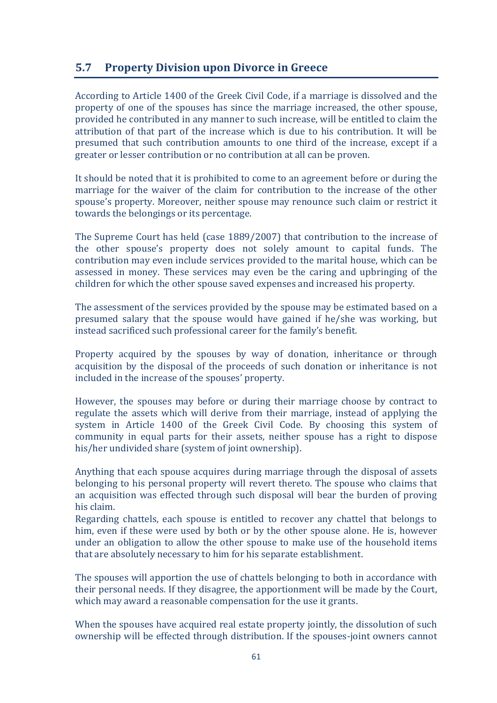## **5.7** Property Division upon Divorce in Greece

According to Article 1400 of the Greek Civil Code, if a marriage is dissolved and the property of one of the spouses has since the marriage increased, the other spouse, provided he contributed in any manner to such increase, will be entitled to claim the attribution of that part of the increase which is due to his contribution. It will be presumed that such contribution amounts to one third of the increase, except if a greater or lesser contribution or no contribution at all can be proven.

It should be noted that it is prohibited to come to an agreement before or during the marriage for the waiver of the claim for contribution to the increase of the other spouse's property. Moreover, neither spouse may renounce such claim or restrict it towards the belongings or its percentage.

The Supreme Court has held (case  $1889/2007$ ) that contribution to the increase of the other spouse's property does not solely amount to capital funds. The contribution may even include services provided to the marital house, which can be assessed in money. These services may even be the caring and upbringing of the children for which the other spouse saved expenses and increased his property.

The assessment of the services provided by the spouse may be estimated based on a presumed salary that the spouse would have gained if he/she was working, but instead sacrificed such professional career for the family's benefit.

Property acquired by the spouses by way of donation, inheritance or through acquisition by the disposal of the proceeds of such donation or inheritance is not included in the increase of the spouses' property.

However, the spouses may before or during their marriage choose by contract to regulate the assets which will derive from their marriage, instead of applying the system in Article 1400 of the Greek Civil Code. By choosing this system of community in equal parts for their assets, neither spouse has a right to dispose his/her undivided share (system of joint ownership).

Anything that each spouse acquires during marriage through the disposal of assets belonging to his personal property will revert thereto. The spouse who claims that an acquisition was effected through such disposal will bear the burden of proving his claim.

Regarding chattels, each spouse is entitled to recover any chattel that belongs to him, even if these were used by both or by the other spouse alone. He is, however under an obligation to allow the other spouse to make use of the household items that are absolutely necessary to him for his separate establishment.

The spouses will apportion the use of chattels belonging to both in accordance with their personal needs. If they disagree, the apportionment will be made by the Court, which may award a reasonable compensation for the use it grants.

When the spouses have acquired real estate property jointly, the dissolution of such ownership will be effected through distribution. If the spouses-joint owners cannot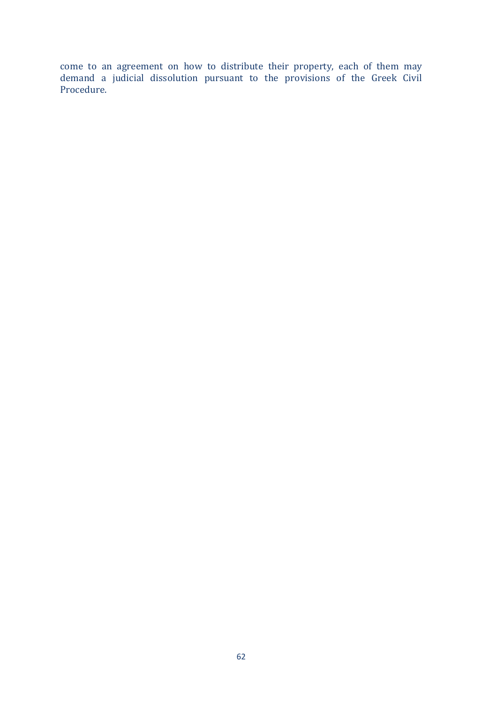come to an agreement on how to distribute their property, each of them may demand a judicial dissolution pursuant to the provisions of the Greek Civil Procedure.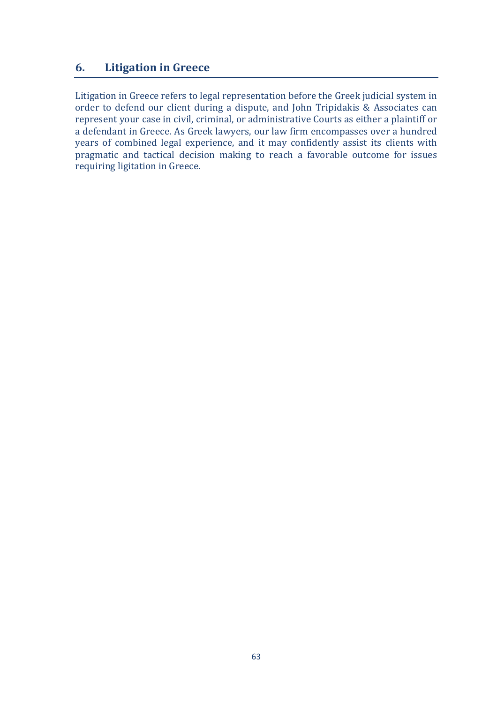## **6.** Litigation in Greece

Litigation in Greece refers to legal representation before the Greek judicial system in order to defend our client during a dispute, and John Tripidakis & Associates can represent your case in civil, criminal, or administrative Courts as either a plaintiff or a defendant in Greece. As Greek lawyers, our law firm encompasses over a hundred years of combined legal experience, and it may confidently assist its clients with pragmatic and tactical decision making to reach a favorable outcome for issues requiring ligitation in Greece.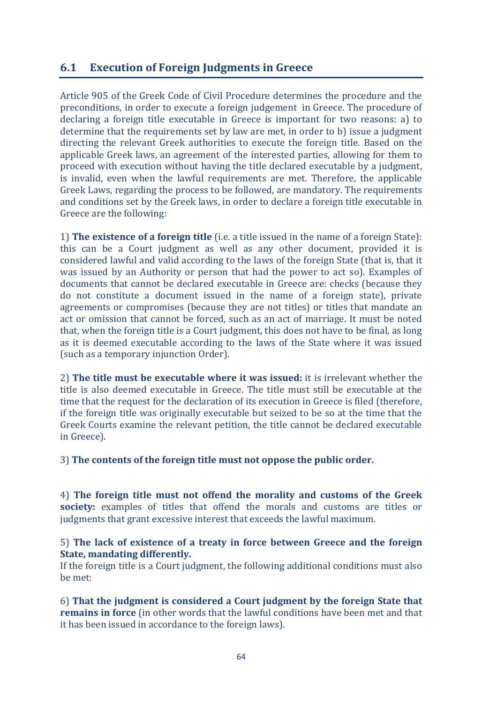## **6.1 Execution of Foreign Judgments in Greece**

Article 905 of the Greek Code of Civil Procedure determines the procedure and the preconditions, in order to execute a foreign judgement in Greece. The procedure of declaring a foreign title executable in Greece is important for two reasons: a) to determine that the requirements set by law are met, in order to b) issue a judgment directing the relevant Greek authorities to execute the foreign title. Based on the applicable Greek laws, an agreement of the interested parties, allowing for them to proceed with execution without having the title declared executable by a judgment, is invalid, even when the lawful requirements are met. Therefore, the applicable Greek Laws, regarding the process to be followed, are mandatory. The requirements and conditions set by the Greek laws, in order to declare a foreign title executable in Greece are the following:

1) **The existence of a foreign title** (i.e. a title issued in the name of a foreign State): this can be a Court judgment as well as any other document, provided it is considered lawful and valid according to the laws of the foreign State (that is, that it was issued by an Authority or person that had the power to act so). Examples of documents that cannot be declared executable in Greece are: checks (because they do not constitute a document issued in the name of a foreign state), private agreements or compromises (because they are not titles) or titles that mandate an act or omission that cannot be forced, such as an act of marriage. It must be noted that, when the foreign title is a Court judgment, this does not have to be final, as long as it is deemed executable according to the laws of the State where it was issued (such as a temporary injunction Order).

2) **The title must be executable where it was issued:** it is irrelevant whether the title is also deemed executable in Greece. The title must still be executable at the time that the request for the declaration of its execution in Greece is filed (therefore, if the foreign title was originally executable but seized to be so at the time that the Greek Courts examine the relevant petition, the title cannot be declared executable in Greece).

3) The contents of the foreign title must not oppose the public order.

4) The foreign title must not offend the morality and customs of the Greek **society:** examples of titles that offend the morals and customs are titles or judgments that grant excessive interest that exceeds the lawful maximum.

#### 5) The lack of existence of a treaty in force between Greece and the foreign **State, mandating differently.**

If the foreign title is a Court judgment, the following additional conditions must also be met:

6) That the judgment is considered a Court judgment by the foreign State that **remains in force** (in other words that the lawful conditions have been met and that it has been issued in accordance to the foreign laws).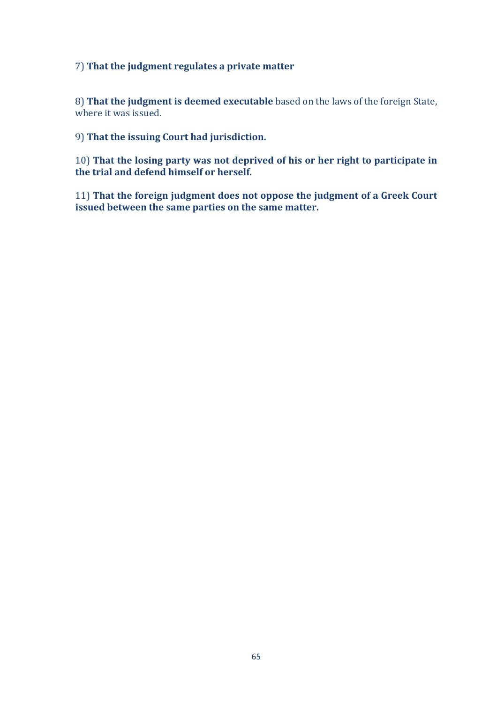#### 7) That the judgment regulates a private matter

8) That the judgment is deemed executable based on the laws of the foreign State, where it was issued.

9) That the issuing Court had jurisdiction.

10) That the losing party was not deprived of his or her right to participate in the trial and defend himself or herself.

11) That the foreign judgment does not oppose the judgment of a Greek Court **issued between the same parties on the same matter.**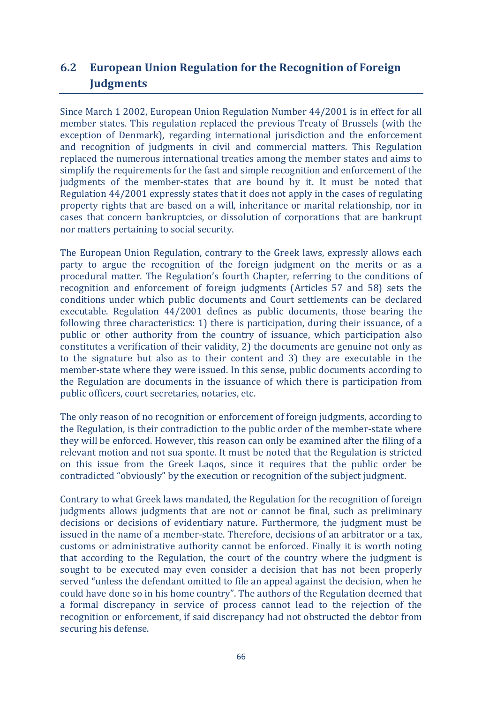# **6.2 European Union Regulation for the Recognition of Foreign** *<u>Iudgments</u>*

Since March 1 2002, European Union Regulation Number 44/2001 is in effect for all member states. This regulation replaced the previous Treaty of Brussels (with the exception of Denmark), regarding international jurisdiction and the enforcement and recognition of judgments in civil and commercial matters. This Regulation replaced the numerous international treaties among the member states and aims to simplify the requirements for the fast and simple recognition and enforcement of the judgments of the member-states that are bound by it. It must be noted that Regulation  $44/2001$  expressly states that it does not apply in the cases of regulating property rights that are based on a will, inheritance or marital relationship, nor in cases that concern bankruptcies, or dissolution of corporations that are bankrupt nor matters pertaining to social security.

The European Union Regulation, contrary to the Greek laws, expressly allows each party to argue the recognition of the foreign judgment on the merits or as a procedural matter. The Regulation's fourth Chapter, referring to the conditions of recognition and enforcement of foreign judgments (Articles 57 and 58) sets the conditions under which public documents and Court settlements can be declared executable. Regulation  $44/2001$  defines as public documents, those bearing the following three characteristics: 1) there is participation, during their issuance, of a public or other authority from the country of issuance, which participation also constitutes a verification of their validity, 2) the documents are genuine not only as to the signature but also as to their content and 3) they are executable in the member-state where they were issued. In this sense, public documents according to the Regulation are documents in the issuance of which there is participation from public officers, court secretaries, notaries, etc.

The only reason of no recognition or enforcement of foreign judgments, according to the Regulation, is their contradiction to the public order of the member-state where they will be enforced. However, this reason can only be examined after the filing of a relevant motion and not sua sponte. It must be noted that the Regulation is stricted on this issue from the Greek Lagos, since it requires that the public order be contradicted "obviously" by the execution or recognition of the subject judgment.

Contrary to what Greek laws mandated, the Regulation for the recognition of foreign judgments allows judgments that are not or cannot be final, such as preliminary decisions or decisions of evidentiary nature. Furthermore, the judgment must be issued in the name of a member-state. Therefore, decisions of an arbitrator or a tax, customs or administrative authority cannot be enforced. Finally it is worth noting that according to the Regulation, the court of the country where the judgment is sought to be executed may even consider a decision that has not been properly served "unless the defendant omitted to file an appeal against the decision, when he could have done so in his home country". The authors of the Regulation deemed that a formal discrepancy in service of process cannot lead to the rejection of the recognition or enforcement, if said discrepancy had not obstructed the debtor from securing his defense.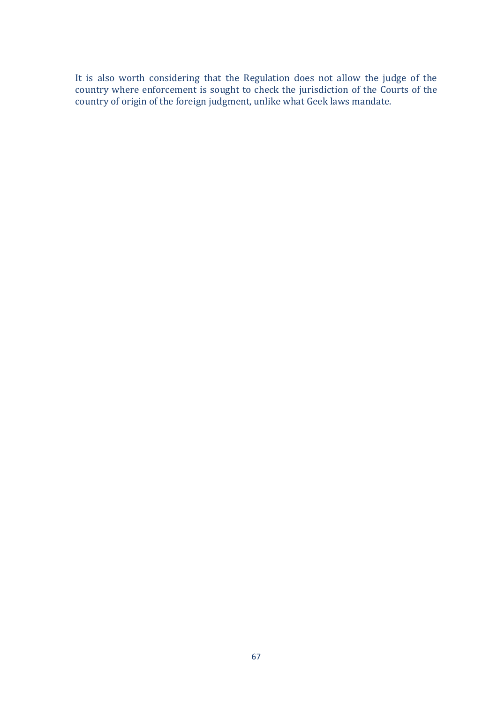It is also worth considering that the Regulation does not allow the judge of the country where enforcement is sought to check the jurisdiction of the Courts of the country *constructions* is seen to shown in *junctionary* country of origin of the foreign judgment, unlike what Geek laws mandate.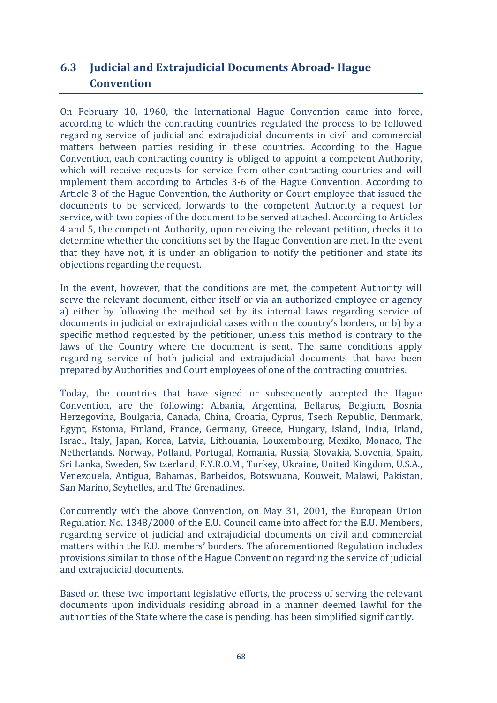# **6.3 Judicial and Extrajudicial Documents Abroad- Hague Convention**

On February 10, 1960, the International Hague Convention came into force, according to which the contracting countries regulated the process to be followed regarding service of judicial and extrajudicial documents in civil and commercial matters between parties residing in these countries. According to the Hague Convention, each contracting country is obliged to appoint a competent Authority, which will receive requests for service from other contracting countries and will implement them according to Articles 3-6 of the Hague Convention. According to Article 3 of the Hague Convention, the Authority or Court employee that issued the documents to be serviced, forwards to the competent Authority a request for service, with two copies of the document to be served attached. According to Articles 4 and 5, the competent Authority, upon receiving the relevant petition, checks it to determine whether the conditions set by the Hague Convention are met. In the event that they have not, it is under an obligation to notify the petitioner and state its objections regarding the request.

In the event, however, that the conditions are met, the competent Authority will serve the relevant document, either itself or via an authorized employee or agency a) either by following the method set by its internal Laws regarding service of documents in judicial or extrajudicial cases within the country's borders, or b) by a specific method requested by the petitioner, unless this method is contrary to the laws of the Country where the document is sent. The same conditions apply regarding service of both judicial and extrajudicial documents that have been prepared by Authorities and Court employees of one of the contracting countries.

Today, the countries that have signed or subsequently accepted the Hague Convention, are the following: Albania, Argentina, Bellarus, Belgium, Bosnia Herzegovina, Boulgaria, Canada, China, Croatia, Cyprus, Tsech Republic, Denmark, Egypt, Estonia, Finland, France, Germany, Greece, Hungary, Island, India, Irland, Israel, Italy, Japan, Korea, Latvia, Lithouania, Louxembourg, Mexiko, Monaco, The Netherlands, Norway, Polland, Portugal, Romania, Russia, Slovakia, Slovenia, Spain, Sri Lanka, Sweden, Switzerland, F.Y.R.O.M., Turkey, Ukraine, United Kingdom, U.S.A., Venezouela, Antigua, Bahamas, Barbeidos, Botswuana, Kouweit, Malawi, Pakistan, San Marino, Seyhelles, and The Grenadines.

Concurrently with the above Convention, on May 31, 2001, the European Union Regulation No. 1348/2000 of the E.U. Council came into affect for the E.U. Members, regarding service of judicial and extrajudicial documents on civil and commercial matters within the E.U. members' borders. The aforementioned Regulation includes provisions similar to those of the Hague Convention regarding the service of judicial and extrajudicial documents.

Based on these two important legislative efforts, the process of serving the relevant documents upon individuals residing abroad in a manner deemed lawful for the authorities of the State where the case is pending, has been simplified significantly.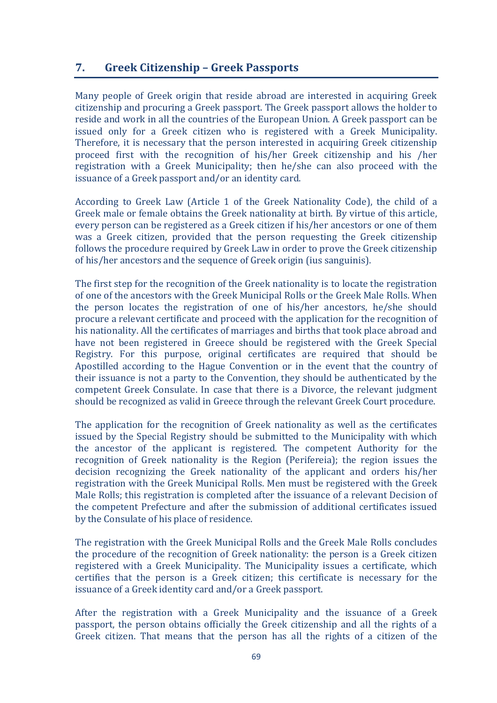## **7. Greek Citizenship – Greek Passports**

Many people of Greek origin that reside abroad are interested in acquiring Greek citizenship and procuring a Greek passport. The Greek passport allows the holder to reside and work in all the countries of the European Union. A Greek passport can be issued only for a Greek citizen who is registered with a Greek Municipality. Therefore, it is necessary that the person interested in acquiring Greek citizenship proceed first with the recognition of his/her Greek citizenship and his /her registration with a Greek Municipality; then he/she can also proceed with the issuance of a Greek passport and/or an identity card.

According to Greek Law (Article 1 of the Greek Nationality Code), the child of a Greek male or female obtains the Greek nationality at birth. By virtue of this article, every person can be registered as a Greek citizen if his/her ancestors or one of them was a Greek citizen, provided that the person requesting the Greek citizenship follows the procedure required by Greek Law in order to prove the Greek citizenship of his/her ancestors and the sequence of Greek origin (ius sanguinis).

The first step for the recognition of the Greek nationality is to locate the registration of one of the ancestors with the Greek Municipal Rolls or the Greek Male Rolls. When the person locates the registration of one of his/her ancestors, he/she should procure a relevant certificate and proceed with the application for the recognition of his nationality. All the certificates of marriages and births that took place abroad and have not been registered in Greece should be registered with the Greek Special Registry. For this purpose, original certificates are required that should be Apostilled according to the Hague Convention or in the event that the country of their issuance is not a party to the Convention, they should be authenticated by the competent Greek Consulate. In case that there is a Divorce, the relevant judgment should be recognized as valid in Greece through the relevant Greek Court procedure.

The application for the recognition of Greek nationality as well as the certificates issued by the Special Registry should be submitted to the Municipality with which the ancestor of the applicant is registered. The competent Authority for the recognition of Greek nationality is the Region (Perifereia); the region issues the decision recognizing the Greek nationality of the applicant and orders his/her registration with the Greek Municipal Rolls. Men must be registered with the Greek Male Rolls; this registration is completed after the issuance of a relevant Decision of the competent Prefecture and after the submission of additional certificates issued by the Consulate of his place of residence.

The registration with the Greek Municipal Rolls and the Greek Male Rolls concludes the procedure of the recognition of Greek nationality: the person is a Greek citizen registered with a Greek Municipality. The Municipality issues a certificate, which certifies that the person is a Greek citizen; this certificate is necessary for the issuance of a Greek identity card and/or a Greek passport.

After the registration with a Greek Municipality and the issuance of a Greek passport, the person obtains officially the Greek citizenship and all the rights of a Greek citizen. That means that the person has all the rights of a citizen of the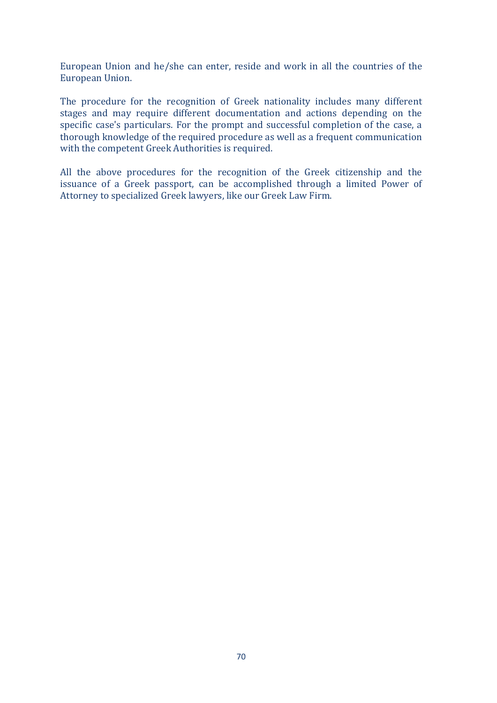European Union and he/she can enter, reside and work in all the countries of the European Union.

The procedure for the recognition of Greek nationality includes many different stages and may require different documentation and actions depending on the specific case's particulars. For the prompt and successful completion of the case, a thorough knowledge of the required procedure as well as a frequent communication with the competent Greek Authorities is required.

All the above procedures for the recognition of the Greek citizenship and the issuance of a Greek passport, can be accomplished through a limited Power of Attorney to specialized Greek lawyers, like our Greek Law Firm.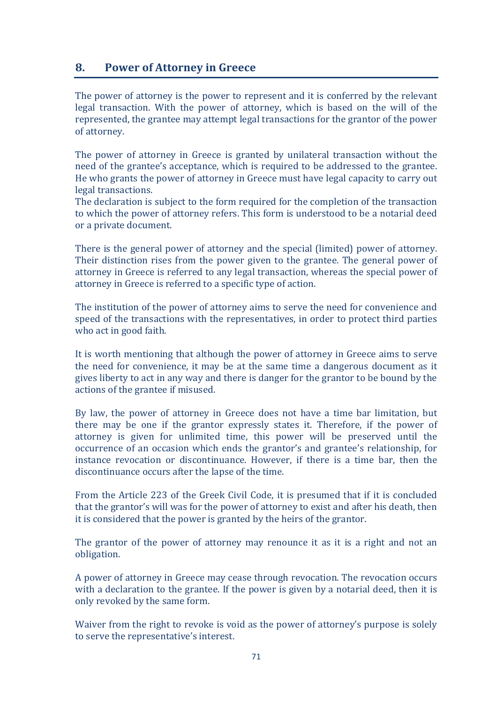## **8. Power of Attorney in Greece**

The power of attorney is the power to represent and it is conferred by the relevant legal transaction. With the power of attorney, which is based on the will of the represented, the grantee may attempt legal transactions for the grantor of the power of attorney.

The power of attorney in Greece is granted by unilateral transaction without the need of the grantee's acceptance, which is required to be addressed to the grantee. He who grants the power of attorney in Greece must have legal capacity to carry out legal transactions.

The declaration is subject to the form required for the completion of the transaction to which the power of attorney refers. This form is understood to be a notarial deed or a private document.

There is the general power of attorney and the special (limited) power of attorney. Their distinction rises from the power given to the grantee. The general power of attorney in Greece is referred to any legal transaction, whereas the special power of attorney in Greece is referred to a specific type of action.

The institution of the power of attorney aims to serve the need for convenience and speed of the transactions with the representatives, in order to protect third parties who act in good faith.

It is worth mentioning that although the power of attorney in Greece aims to serve the need for convenience, it may be at the same time a dangerous document as it gives liberty to act in any way and there is danger for the grantor to be bound by the actions of the grantee if misused.

By law, the power of attorney in Greece does not have a time bar limitation, but there may be one if the grantor expressly states it. Therefore, if the power of attorney is given for unlimited time, this power will be preserved until the occurrence of an occasion which ends the grantor's and grantee's relationship, for instance revocation or discontinuance. However, if there is a time bar, then the discontinuance occurs after the lapse of the time.

From the Article 223 of the Greek Civil Code, it is presumed that if it is concluded that the grantor's will was for the power of attorney to exist and after his death, then it is considered that the power is granted by the heirs of the grantor.

The grantor of the power of attorney may renounce it as it is a right and not an obligation.

A power of attorney in Greece may cease through revocation. The revocation occurs with a declaration to the grantee. If the power is given by a notarial deed, then it is only revoked by the same form.

Waiver from the right to revoke is void as the power of attorney's purpose is solely to serve the representative's interest.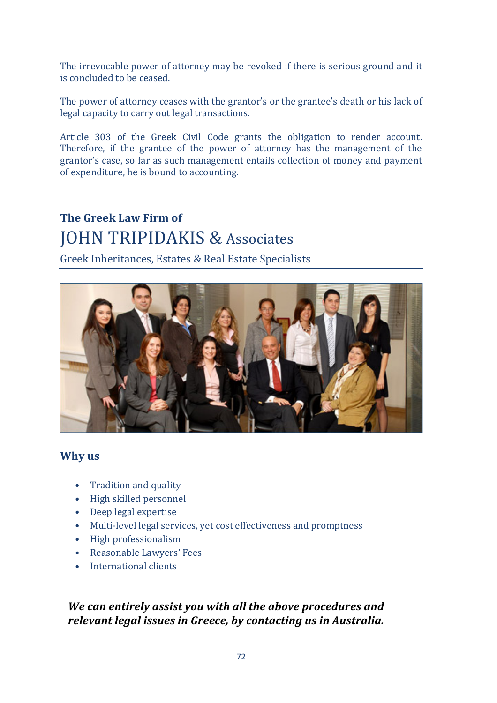The irrevocable power of attorney may be revoked if there is serious ground and it is concluded to be ceased.

The power of attorney ceases with the grantor's or the grantee's death or his lack of legal capacity to carry out legal transactions.

Article 303 of the Greek Civil Code grants the obligation to render account. Therefore, if the grantee of the power of attorney has the management of the grantor's case, so far as such management entails collection of money and payment of expenditure, he is bound to accounting.

# **The Greek Law Firm of JOHN TRIPIDAKIS & Associates**

Greek Inheritances, Estates & Real Estate Specialists



#### **Why** us

- Tradition and quality
- High skilled personnel
- Deep legal expertise
- Multi-level legal services, vet cost effectiveness and promptness
- High professionalism
- Reasonable Lawyers' Fees
- International clients

## *We can entirely assist you with all the above procedures and relevant legal issues in Greece, by contacting us in Australia.*